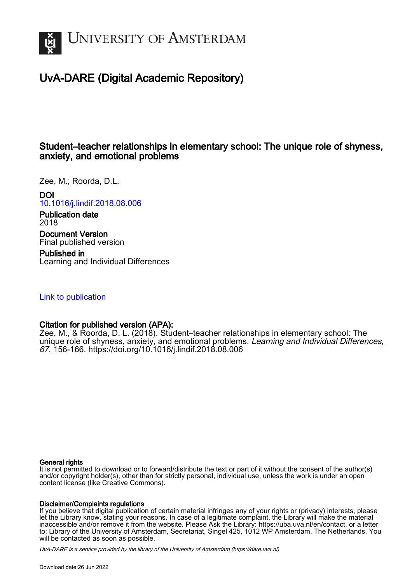

# UvA-DARE (Digital Academic Repository)

# Student–teacher relationships in elementary school: The unique role of shyness, anxiety, and emotional problems

Zee, M.; Roorda, D.L.

DOI

[10.1016/j.lindif.2018.08.006](https://doi.org/10.1016/j.lindif.2018.08.006)

Publication date 2018

Document Version Final published version

Published in Learning and Individual Differences

# [Link to publication](https://dare.uva.nl/personal/pure/en/publications/studentteacher-relationships-in-elementary-school-the-unique-role-of-shyness-anxiety-and-emotional-problems(979cd97f-c256-4e2d-9d3f-884d0ce464b4).html)

# Citation for published version (APA):

Zee, M., & Roorda, D. L. (2018). Student–teacher relationships in elementary school: The unique role of shyness, anxiety, and emotional problems. Learning and Individual Differences, 67, 156-166. <https://doi.org/10.1016/j.lindif.2018.08.006>

# General rights

It is not permitted to download or to forward/distribute the text or part of it without the consent of the author(s) and/or copyright holder(s), other than for strictly personal, individual use, unless the work is under an open content license (like Creative Commons).

# Disclaimer/Complaints regulations

If you believe that digital publication of certain material infringes any of your rights or (privacy) interests, please let the Library know, stating your reasons. In case of a legitimate complaint, the Library will make the material inaccessible and/or remove it from the website. Please Ask the Library: https://uba.uva.nl/en/contact, or a letter to: Library of the University of Amsterdam, Secretariat, Singel 425, 1012 WP Amsterdam, The Netherlands. You will be contacted as soon as possible.

UvA-DARE is a service provided by the library of the University of Amsterdam (http*s*://dare.uva.nl)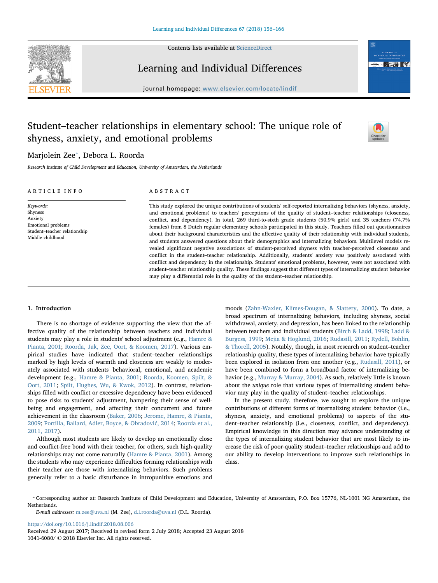

Contents lists available at [ScienceDirect](http://www.sciencedirect.com/science/journal/10416080)

# Learning and Individual Differences



journal homepage: [www.elsevier.com/locate/lindif](https://www.elsevier.com/locate/lindif)

# Student–teacher relationships in elementary school: The unique role of shyness, anxiety, and emotional problems



# Marjolein Zee[⁎](#page-1-0) , Debora L. Roorda

Research Institute of Child Development and Education, University of Amsterdam, the Netherlands

| ARTICLE INFO                                                                                              | ABSTRACT                                                                                                                                                                                                                                                                                                                                                                                                                                                                                                                                                                                                                                                                                                                                                                                                                                                                                                                                                                                                                                              |  |  |  |  |
|-----------------------------------------------------------------------------------------------------------|-------------------------------------------------------------------------------------------------------------------------------------------------------------------------------------------------------------------------------------------------------------------------------------------------------------------------------------------------------------------------------------------------------------------------------------------------------------------------------------------------------------------------------------------------------------------------------------------------------------------------------------------------------------------------------------------------------------------------------------------------------------------------------------------------------------------------------------------------------------------------------------------------------------------------------------------------------------------------------------------------------------------------------------------------------|--|--|--|--|
| Keywords:<br>Shyness<br>Anxiety<br>Emotional problems<br>Student-teacher relationship<br>Middle childhood | This study explored the unique contributions of students' self-reported internalizing behaviors (shyness, anxiety,<br>and emotional problems) to teachers' perceptions of the quality of student-teacher relationships (closeness,<br>conflict, and dependency). In total, 269 third-to-sixth grade students (50.9% girls) and 35 teachers (74.7%<br>females) from 8 Dutch regular elementary schools participated in this study. Teachers filled out questionnaires<br>about their background characteristics and the affective quality of their relationship with individual students,<br>and students answered questions about their demographics and internalizing behaviors. Multilevel models re-<br>vealed significant negative associations of student-perceived shyness with teacher-perceived closeness and<br>conflict in the student-teacher relationship. Additionally, students' anxiety was positively associated with<br>conflict and dependency in the relationship. Students' emotional problems, however, were not associated with |  |  |  |  |

may play a differential role in the quality of the student–teacher relationship.

### 1. Introduction

There is no shortage of evidence supporting the view that the affective quality of the relationship between teachers and individual students may play a role in students' school adjustment (e.g., [Hamre &](#page-9-0) [Pianta, 2001](#page-9-0); [Roorda, Jak, Zee, Oort, & Koomen, 2017](#page-10-0)). Various empirical studies have indicated that student–teacher relationships marked by high levels of warmth and closeness are weakly to moderately associated with students' behavioral, emotional, and academic development (e.g., [Hamre & Pianta, 2001;](#page-9-0) [Roorda, Koomen, Spilt, &](#page-10-1) [Oort, 2011](#page-10-1); [Spilt, Hughes, Wu, & Kwok, 2012\)](#page-10-2). In contrast, relationships filled with conflict or excessive dependency have been evidenced to pose risks to students' adjustment, hampering their sense of wellbeing and engagement, and affecting their concurrent and future achievement in the classroom ([Baker, 2006;](#page-9-1) [Jerome, Hamre, & Pianta,](#page-9-2) [2009;](#page-9-2) [Portilla, Ballard, Adler, Boyce, & Obradovi](#page-10-3)ć, 2014; [Roorda et al.,](#page-10-1) [2011, 2017](#page-10-1)).

Although most students are likely to develop an emotionally close and conflict-free bond with their teacher, for others, such high-quality relationships may not come naturally [\(Hamre & Pianta, 2001\)](#page-9-0). Among the students who may experience difficulties forming relationships with their teacher are those with internalizing behaviors. Such problems generally refer to a basic disturbance in intropunitive emotions and

moods ([Zahn-Waxler, Klimes-Dougan, & Slattery, 2000](#page-10-4)). To date, a broad spectrum of internalizing behaviors, including shyness, social withdrawal, anxiety, and depression, has been linked to the relationship between teachers and individual students ([Birch & Ladd, 1998;](#page-9-3) [Ladd &](#page-10-5) [Burgess, 1999](#page-10-5); [Mejia & Hoglund, 2016](#page-10-6); [Rudasill, 2011](#page-10-7); [Rydell, Bohlin,](#page-10-8) [& Thorell, 2005](#page-10-8)). Notably, though, in most research on student–teacher relationship quality, these types of internalizing behavior have typically been explored in isolation from one another (e.g., [Rudasill, 2011\)](#page-10-7), or have been combined to form a broadband factor of internalizing behavior (e.g., [Murray & Murray, 2004\)](#page-10-9). As such, relatively little is known about the unique role that various types of internalizing student behavior may play in the quality of student–teacher relationships.

student–teacher relationship quality. These findings suggest that different types of internalizing student behavior

In the present study, therefore, we sought to explore the unique contributions of different forms of internalizing student behavior (i.e., shyness, anxiety, and emotional problems) to aspects of the student–teacher relationship (i.e., closeness, conflict, and dependency). Empirical knowledge in this direction may advance understanding of the types of internalizing student behavior that are most likely to increase the risk of poor-quality student–teacher relationships and add to our ability to develop interventions to improve such relationships in class.

<https://doi.org/10.1016/j.lindif.2018.08.006>

<span id="page-1-0"></span><sup>⁎</sup> Corresponding author at: Research Institute of Child Development and Education, University of Amsterdam, P.O. Box 15776, NL-1001 NG Amsterdam, the **Netherlands** 

E-mail addresses: [m.zee@uva.nl](mailto:m.zee@uva.nl) (M. Zee), [d.l.roorda@uva.nl](mailto:d.l.roorda@uva.nl) (D.L. Roorda).

Received 29 August 2017; Received in revised form 2 July 2018; Accepted 23 August 2018 1041-6080/ © 2018 Elsevier Inc. All rights reserved.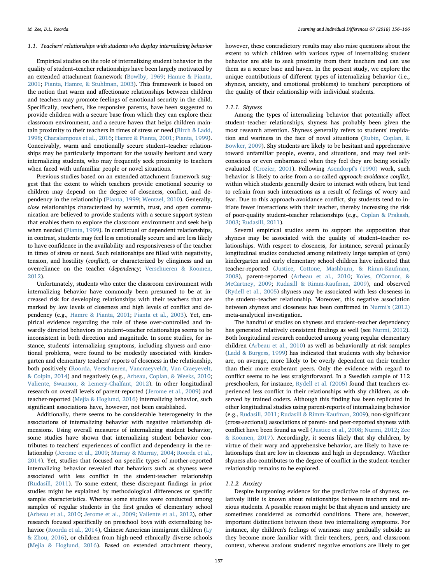#### 1.1. Teachers' relationships with students who display internalizing behavior

Empirical studies on the role of internalizing student behavior in the quality of student–teacher relationships have been largely motivated by an extended attachment framework ([Bowlby, 1969;](#page-9-4) [Hamre & Pianta,](#page-9-0) [2001;](#page-9-0) [Pianta, Hamre, & Stuhlman, 2003\)](#page-10-10). This framework is based on the notion that warm and affectionate relationships between children and teachers may promote feelings of emotional security in the child. Specifically, teachers, like responsive parents, have been suggested to provide children with a secure base from which they can explore their classroom environment, and a secure haven that helps children maintain proximity to their teachers in times of stress or need ([Birch & Ladd,](#page-9-3) [1998;](#page-9-3) [Charalampous et al., 2016](#page-9-5); [Hamre & Pianta, 2001](#page-9-0); [Pianta, 1999](#page-10-11)). Conceivably, warm and emotionally secure student–teacher relationships may be particularly important for the usually hesitant and wary internalizing students, who may frequently seek proximity to teachers when faced with unfamiliar people or novel situations.

Previous studies based on an extended attachment framework suggest that the extent to which teachers provide emotional security to children may depend on the degree of closeness, conflict, and dependency in the relationship [\(Pianta, 1999](#page-10-11); [Wentzel, 2010\)](#page-10-12). Generally, close relationships characterized by warmth, trust, and open communication are believed to provide students with a secure support system that enables them to explore the classroom environment and seek help when needed ([Pianta, 1999\)](#page-10-11). In conflictual or dependent relationships, in contrast, students may feel less emotionally secure and are less likely to have confidence in the availability and responsiveness of the teacher in times of stress or need. Such relationships are filled with negativity, tension, and hostility (conflict), or characterized by clinginess and an overreliance on the teacher (dependency; [Verschueren & Koomen,](#page-10-13) [2012\)](#page-10-13).

Unfortunately, students who enter the classroom environment with internalizing behavior have commonly been presumed to be at increased risk for developing relationships with their teachers that are marked by low levels of closeness and high levels of conflict and dependency (e.g., [Hamre & Pianta, 2001](#page-9-0); [Pianta et al., 2003\)](#page-10-10). Yet, empirical evidence regarding the role of these over-controlled and inwardly directed behaviors in student–teacher relationships seems to be inconsistent in both direction and magnitude. In some studies, for instance, students' internalizing symptoms, including shyness and emotional problems, were found to be modestly associated with kindergarten and elementary teachers' reports of closeness in the relationship, both positively ([Roorda, Verschueren, Vancraeyveldt, Van Craeyevelt,](#page-10-14) [& Colpin, 2014\)](#page-10-14) and negatively (e.g., [Arbeau, Coplan, & Weeks, 2010](#page-9-6); [Valiente, Swanson, & Lemery-Chalfant, 2012\)](#page-10-15). In other longitudinal research on overall levels of parent-reported (Jerome [et al., 2009](#page-9-2)) and teacher-reported ([Mejia & Hoglund, 2016](#page-10-6)) internalizing behavior, such significant associations have, however, not been established.

Additionally, there seems to be considerable heterogeneity in the associations of internalizing behavior with negative relationship dimensions. Using overall measures of internalizing student behavior, some studies have shown that internalizing student behavior contributes to teachers' experiences of conflict and dependency in the relationship ([Jerome et al., 2009;](#page-9-2) [Murray & Murray, 2004](#page-10-9); [Roorda et al.,](#page-10-14) [2014\)](#page-10-14). Yet, studies that focused on specific types of mother-reported internalizing behavior revealed that behaviors such as shyness were associated with less conflict in the student-teacher relationship ([Rudasill, 2011](#page-10-7)). To some extent, these discrepant findings in prior studies might be explained by methodological differences or specific sample characteristics. Whereas some studies were conducted among samples of regular students in the first grades of elementary school ([Arbeau et al., 2010;](#page-9-6) [Jerome et al., 2009](#page-9-2); [Valiente et al., 2012](#page-10-15)), other research focused specifically on preschool boys with externalizing behavior ([Roorda et al., 2014](#page-10-14)), Chinese American immigrant children [\(Ly](#page-10-16) [& Zhou, 2016\)](#page-10-16), or children from high-need ethnically diverse schools ([Mejia & Hoglund, 2016\)](#page-10-6). Based on extended attachment theory,

however, these contradictory results may also raise questions about the extent to which children with various types of internalizing student behavior are able to seek proximity from their teachers and can use them as a secure base and haven. In the present study, we explore the unique contributions of different types of internalizing behavior (i.e., shyness, anxiety, and emotional problems) to teachers' perceptions of the quality of their relationship with individual students.

#### 1.1.1. Shyness

Among the types of internalizing behavior that potentially affect student–teacher relationships, shyness has probably been given the most research attention. Shyness generally refers to students' trepidation and wariness in the face of novel situations [\(Rubin, Coplan, &](#page-10-17) [Bowker, 2009\)](#page-10-17). Shy students are likely to be hesitant and apprehensive toward unfamiliar people, events, and situations, and may feel selfconscious or even embarrassed when they feel they are being socially evaluated ([Crozier, 2001](#page-9-7)). Following [Asendorpf's \(1990\)](#page-9-8) work, such behavior is likely to arise from a so-called approach-avoidance conflict, within which students generally desire to interact with others, but tend to refrain from such interactions as a result of feelings of worry and fear. Due to this approach-avoidance conflict, shy students tend to initiate fewer interactions with their teacher, thereby increasing the risk of poor-quality student–teacher relationships (e.g., [Coplan & Prakash,](#page-9-9) [2003;](#page-9-9) [Rudasill, 2011\)](#page-10-7).

Several empirical studies seem to support the supposition that shyness may be associated with the quality of student–teacher relationships. With respect to closeness, for instance, several primarily longitudinal studies conducted among relatively large samples of (pre) kindergarten and early elementary school children have indicated that teacher-reported ([Justice, Cottone, Mashburn, & Rimm-Kaufman,](#page-10-18) [2008\)](#page-10-18), parent-reported [\(Arbeau et al., 2010;](#page-9-6) [Koles, O'Connor, &](#page-10-19) [McCartney, 2009](#page-10-19); [Rudasill & Rimm-Kaufman, 2009\)](#page-10-20), and observed ([Rydell et al., 2005\)](#page-10-8) shyness may be associated with less closeness in the student–teacher relationship. Moreover, this negative association between shyness and closeness has been confirmed in [Nurmi's \(2012\)](#page-10-21) meta-analytical investigation.

The handful of studies on shyness and student–teacher dependency has generated relatively consistent findings as well (see [Nurmi, 2012](#page-10-21)). Both longitudinal research conducted among young regular elementary children ([Arbeau et al., 2010](#page-9-6)) as well as behaviorally at-risk samples ([Ladd & Burgess, 1999](#page-10-5)) has indicated that students with shy behavior are, on average, more likely to be overly dependent on their teacher than their more exuberant peers. Only the evidence with regard to conflict seems to be less straightforward. In a Swedish sample of 112 preschoolers, for instance, [Rydell et al. \(2005\)](#page-10-8) found that teachers experienced less conflict in their relationships with shy children, as observed by trained coders. Although this finding has been replicated in other longitudinal studies using parent-reports of internalizing behavior (e.g., [Rudasill, 2011](#page-10-7); [Rudasill & Rimm-Kaufman, 2009\)](#page-10-20), non-significant (cross-sectional) associations of parent- and peer-reported shyness with conflict have been found as well [\(Justice et al., 2008](#page-10-18); [Nurmi, 2012;](#page-10-21) [Zee](#page-10-22) [& Koomen, 2017](#page-10-22)). Accordingly, it seems likely that shy children, by virtue of their wary and apprehensive behavior, are likely to have relationships that are low in closeness and high in dependency. Whether shyness also contributes to the degree of conflict in the student–teacher relationship remains to be explored.

# 1.1.2. Anxiety

Despite burgeoning evidence for the predictive role of shyness, relatively little is known about relationships between teachers and anxious students. A possible reason might be that shyness and anxiety are sometimes considered as comorbid conditions. There are, however, important distinctions between these two internalizing symptoms. For instance, shy children's feelings of wariness may gradually subside as they become more familiar with their teachers, peers, and classroom context, whereas anxious students' negative emotions are likely to get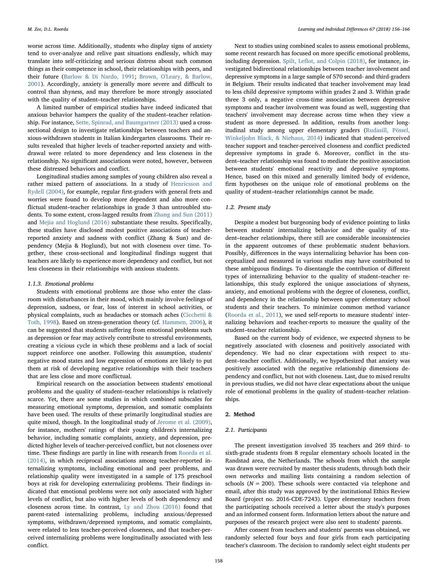worse across time. Additionally, students who display signs of anxiety tend to over-analyze and relive past situations endlessly, which may translate into self-criticizing and serious distress about such common things as their competence in school, their relationships with peers, and their future ([Barlow & Di Nardo, 1991](#page-9-10); [Brown, O'Leary, & Barlow,](#page-9-11) [2001\)](#page-9-11). Accordingly, anxiety is generally more severe and difficult to control than shyness, and may therefore be more strongly associated with the quality of student–teacher relationships.

A limited number of empirical studies have indeed indicated that anxious behavior hampers the quality of the student–teacher relationship. For instance, [Sette, Spinrad, and Baumgartner \(2013\)](#page-10-23) used a crosssectional design to investigate relationships between teachers and anxious-withdrawn students in Italian kindergarten classrooms. Their results revealed that higher levels of teacher-reported anxiety and withdrawal were related to more dependency and less closeness in the relationship. No significant associations were noted, however, between these distressed behaviors and conflict.

Longitudinal studies among samples of young children also reveal a rather mixed pattern of associations. In a study of [Henricsson and](#page-9-12) [Rydell \(2004\),](#page-9-12) for example, regular first-graders with general frets and worries were found to develop more dependent and also more conflictual student–teacher relationships in grade 3 than untroubled students. To some extent, cross-lagged results from [Zhang and Sun \(2011\)](#page-11-0) and [Mejia and Hoglund \(2016\)](#page-10-6) substantiate these results. Specifically, these studies have disclosed modest positive associations of teacherreported anxiety and sadness with conflict (Zhang & Sun) and dependency (Mejia & Hoglund), but not with closeness over time. Together, these cross-sectional and longitudinal findings suggest that teachers are likely to experience more dependency and conflict, but not less closeness in their relationships with anxious students.

#### 1.1.3. Emotional problems

Students with emotional problems are those who enter the classroom with disturbances in their mood, which mainly involve feelings of depression, sadness, or fear, loss of interest in school activities, or physical complaints, such as headaches or stomach aches [\(Cicchetti &](#page-9-13) [Toth, 1998\)](#page-9-13). Based on stress-generation theory (cf. [Hammen, 2006\)](#page-9-14), it can be suggested that students suffering from emotional problems such as depression or fear may actively contribute to stressful environments, creating a vicious cycle in which these problems and a lack of social support reinforce one another. Following this assumption, students' negative mood states and low expression of emotions are likely to put them at risk of developing negative relationships with their teachers that are less close and more conflictual.

Empirical research on the association between students' emotional problems and the quality of student–teacher relationships is relatively scarce. Yet, there are some studies in which combined subscales for measuring emotional symptoms, depression, and somatic complaints have been used. The results of these primarily longitudinal studies are quite mixed, though. In the longitudinal study of [Jerome et al. \(2009\)](#page-9-2), for instance, mothers' ratings of their young children's internalizing behavior, including somatic complaints, anxiety, and depression, predicted higher levels of teacher-perceived conflict, but not closeness over time. These findings are partly in line with research from [Roorda et al.](#page-10-14) [\(2014\),](#page-10-14) in which reciprocal associations among teacher-reported internalizing symptoms, including emotional and peer problems, and relationship quality were investigated in a sample of 175 preschool boys at risk for developing externalizing problems. Their findings indicated that emotional problems were not only associated with higher levels of conflict, but also with higher levels of both dependency and closeness across time. In contrast, [Ly and Zhou \(2016\)](#page-10-16) found that parent-rated internalizing problems, including anxious/depressed symptoms, withdrawn/depressed symptoms, and somatic complaints, were related to less teacher-perceived closeness, and that teacher-perceived internalizing problems were longitudinally associated with less conflict.

Next to studies using combined scales to assess emotional problems, some recent research has focused on more specific emotional problems, including depression. Spilt, Lefl[ot, and Colpin \(2018\),](#page-10-24) for instance, investigated bidirectional relationships between teacher involvement and depressive symptoms in a large sample of 570 second- and third-graders in Belgium. Their results indicated that teacher involvement may lead to less child depressive symptoms within grades 2 and 3. Within grade three 3 only, a negative cross-time association between depressive symptoms and teacher involvement was found as well, suggesting that teachers' involvement may decrease across time when they view a student as more depressed. In addition, results from another longitudinal study among upper elementary graders ([Rudasill, Pössel,](#page-10-25) [Winkeljohn Black, & Niehaus, 2014\)](#page-10-25) indicated that student-perceived teacher support and teacher-perceived closeness and conflict predicted depressive symptoms in grade 6. Moreover, conflict in the student–teacher relationship was found to mediate the positive association between students' emotional reactivity and depressive symptoms. Hence, based on this mixed and generally limited body of evidence, firm hypotheses on the unique role of emotional problems on the quality of student–teacher relationships cannot be made.

#### 1.2. Present study

Despite a modest but burgeoning body of evidence pointing to links between students' internalizing behavior and the quality of student–teacher relationships, there still are considerable inconsistencies in the apparent outcomes of these problematic student behaviors. Possibly, differences in the ways internalizing behavior has been conceptualized and measured in various studies may have contributed to these ambiguous findings. To disentangle the contribution of different types of internalizing behavior to the quality of student–teacher relationships, this study explored the unique associations of shyness, anxiety, and emotional problems with the degree of closeness, conflict, and dependency in the relationship between upper elementary school students and their teachers. To minimize common method variance ([Roorda et al., 2011\)](#page-10-1), we used self-reports to measure students' internalizing behaviors and teacher-reports to measure the quality of the student–teacher relationship.

Based on the current body of evidence, we expected shyness to be negatively associated with closeness and positively associated with dependency. We had no clear expectations with respect to student–teacher conflict. Additionally, we hypothesized that anxiety was positively associated with the negative relationship dimensions dependency and conflict, but not with closeness. Last, due to mixed results in previous studies, we did not have clear expectations about the unique role of emotional problems in the quality of student–teacher relationships.

#### 2. Method

## 2.1. Participants

The present investigation involved 35 teachers and 269 third- to sixth-grade students from 8 regular elementary schools located in the Randstad area, the Netherlands. The schools from which the sample was drawn were recruited by master thesis students, through both their own networks and mailing lists containing a random selection of schools ( $N = 200$ ). These schools were contacted via telephone and email, after this study was approved by the institutional Ethics Review Board (project no. 2016-CDE-7243). Upper elementary teachers from the participating schools received a letter about the study's purposes and an informed consent form. Information letters about the nature and purposes of the research project were also sent to students' parents.

After consent from teachers and students' parents was obtained, we randomly selected four boys and four girls from each participating teacher's classroom. The decision to randomly select eight students per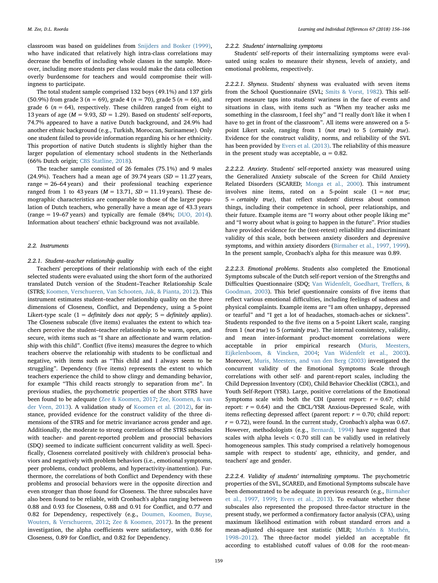classroom was based on guidelines from [Snijders and Bosker \(1999\)](#page-10-26), who have indicated that relatively high intra-class correlations may decrease the benefits of including whole classes in the sample. Moreover, including more students per class would make the data collection overly burdensome for teachers and would compromise their willingness to participate.

The total student sample comprised 132 boys (49.1%) and 137 girls (50.9%) from grade 3 ( $n = 69$ ), grade 4 ( $n = 70$ ), grade 5 ( $n = 66$ ), and grade 6 ( $n = 64$ ), respectively. These children ranged from eight to 13 years of age ( $M = 9.93$ ,  $SD = 1.29$ ). Based on students' self-reports, 74.7% appeared to have a native Dutch background, and 24.9% had another ethnic background (e.g., Turkish, Moroccan, Surinamese). Only one student failed to provide information regarding his or her ethnicity. This proportion of native Dutch students is slightly higher than the larger population of elementary school students in the Netherlands (66% Dutch origin; [CBS Statline, 2018](#page-9-15)).

The teacher sample consisted of 26 females (75.1%) and 9 males (24.9%). Teachers had a mean age of 39.74 years ( $SD = 11.27$  years, range = 26–64 years) and their professional teaching experience ranged from 1 to 43 years ( $M = 13.71$ ,  $SD = 11.19$  years). These demographic characteristics are comparable to those of the larger population of Dutch teachers, who generally have a mean age of 43.3 years (range = 19–67 years) and typically are female (84%; [DUO, 2014](#page-9-16)). Information about teachers' ethnic background was not available.

#### 2.2. Instruments

#### 2.2.1. Student–teacher relationship quality

Teachers' perceptions of their relationship with each of the eight selected students were evaluated using the short form of the authorized translated Dutch version of the Student–Teacher Relationship Scale (STRS; [Koomen, Verschueren, Van Schooten, Jak, & Pianta, 2012](#page-10-27)). This instrument estimates student–teacher relationship quality on the three dimensions of Closeness, Conflict, and Dependency, using a 5-point Likert-type scale  $(1 = \text{definitely does not apply}; 5 = \text{definitely applies}).$ The Closeness subscale (five items) evaluates the extent to which teachers perceive the student–teacher relationship to be warm, open, and secure, with items such as "I share an affectionate and warm relationship with this child". Conflict (five items) measures the degree to which teachers observe the relationship with students to be conflictual and negative, with items such as "This child and I always seem to be struggling". Dependency (five items) represents the extent to which teachers experience the child to show clingy and demanding behavior, for example "This child reacts strongly to separation from me". In previous studies, the psychometric properties of the short STRS have been found to be adequate ([Zee & Koomen, 2017](#page-10-22); [Zee, Koomen, & van](#page-11-1) [der Veen, 2013\)](#page-11-1). A validation study of [Koomen et al. \(2012\)](#page-10-27), for instance, provided evidence for the construct validity of the three dimensions of the STRS and for metric invariance across gender and age. Additionally, the moderate to strong correlations of the STRS subscales with teacher- and parent-reported problem and prosocial behaviors (SDQ) seemed to indicate sufficient concurrent validity as well. Specifically, Closeness correlated positively with children's prosocial behaviors and negatively with problem behaviors (i.e., emotional symptoms, peer problems, conduct problems, and hyperactivity-inattention). Furthermore, the correlations of both Conflict and Dependency with these problems and prosocial behaviors were in the opposite direction and even stronger than those found for Closeness. The three subscales have also been found to be reliable, with Cronbach's alphas ranging between 0.88 and 0.93 for Closeness, 0.88 and 0.91 for Conflict, and 0.77 and 0.82 for Dependency, respectively (e.g., [Doumen, Koomen, Buyse,](#page-9-17) [Wouters, & Verschueren, 2012;](#page-9-17) [Zee & Koomen, 2017\)](#page-10-22). In the present investigation, the alpha coefficients were satisfactory, with 0.86 for Closeness, 0.89 for Conflict, and 0.82 for Dependency.

#### 2.2.2. Students' internalizing symptoms

Students' self-reports of their internalizing symptoms were evaluated using scales to measure their shyness, levels of anxiety, and emotional problems, respectively.

2.2.2.1. Shyness. Students' shyness was evaluated with seven items from the School Questionnaire (SVL; [Smits & Vorst, 1982](#page-10-28)). This selfreport measure taps into students' wariness in the face of events and situations in class, with items such as "When my teacher asks me something in the classroom, I feel shy" and "I really don't like it when I have to get in front of the classroom". All items were answered on a 5 point Likert scale, ranging from 1 (not true) to 5 (certainly true). Evidence for the construct validity, norms, and reliability of the SVL has been provided by [Evers et al. \(2013\)](#page-9-18). The reliability of this measure in the present study was acceptable,  $\alpha = 0.82$ .

2.2.2.2. Anxiety. Students' self-reported anxiety was measured using the Generalized Anxiety subscale of the Screen for Child Anxiety Related Disorders (SCARED; [Monga et al., 2000\)](#page-10-29). This instrument involves nine items, rated on a 5-point scale  $(1 = not true;$  $5 = certainly$  true), that reflect students' distress about common things, including their competence in school, peer relationships, and their future. Example items are "I worry about other people liking me" and "I worry about what is going to happen in the future". Prior studies have provided evidence for the (test-retest) reliability and discriminant validity of this scale, both between anxiety disorders and depressive symptoms, and within anxiety disorders ([Birmaher et al., 1997, 1999](#page-9-19)). In the present sample, Cronbach's alpha for this measure was 0.89.

2.2.2.3. Emotional problems. Students also completed the Emotional Symptoms subscale of the Dutch self-report version of the Strengths and Difficulties Questionnaire (SDQ; [Van Widenfelt, Goedhart, Tre](#page-10-30)ffers, & [Goodman, 2003](#page-10-30)). This brief questionnaire consists of five items that reflect various emotional difficulties, including feelings of sadness and physical complaints. Example items are "I am often unhappy, depressed or tearful" and "I get a lot of headaches, stomach-aches or sickness". Students responded to the five items on a 5-point Likert scale, ranging from 1 (not true) to 5 (certainly true). The internal consistency, validity, and mean inter-informant product-moment correlations were acceptable in prior empirical research ([Muris, Meesters,](#page-10-31) [Eijkelenboom, & Vincken, 2004](#page-10-31); [Van Widenfelt et al., 2003](#page-10-30)). Moreover, [Muris, Meesters, and van den Berg \(2003\)](#page-10-32) investigated the concurrent validity of the Emotional Symptoms Scale through correlations with other self- and parent-report scales, including the Child Depression Inventory (CDI), Child Behavior Checklist (CBCL), and Youth Self-Report (YSR). Large, positive correlations of the Emotional Symptoms scale with both the CDI (parent report:  $r = 0.67$ ; child report:  $r = 0.64$ ) and the CBCL/YSR Anxious-Depressed Scale, with items reflecting depressed affect (parent report:  $r = 0.70$ ; child report:  $r = 0.72$ ), were found. In the current study, Cronbach's alpha was 0.67. However, methodologists (e.g., [Bernardi, 1994\)](#page-9-20) have suggested that scales with alpha levels < 0.70 still can be validly used in relatively homogeneous samples. This study comprised a relatively homogenous sample with respect to students' age, ethnicity, and gender, and teachers' age and gender.

2.2.2.4. Validity of students' internalizing symptoms. The psychometric properties of the SVL, SCARED, and Emotional Symptoms subscale have been demonstrated to be adequate in previous research (e.g., [Birmaher](#page-9-19) [et al., 1997, 1999](#page-9-19); [Evers et al., 2013](#page-9-18)). To evaluate whether these subscales also represented the proposed three-factor structure in the present study, we performed a confirmatory factor analysis (CFA), using maximum likelihood estimation with robust standard errors and a mean-adjusted chi-square test statistic (MLR; [Muthén & Muthén,](#page-10-33) 1998–[2012\)](#page-10-33). The three-factor model yielded an acceptable fit according to established cutoff values of 0.08 for the root-mean-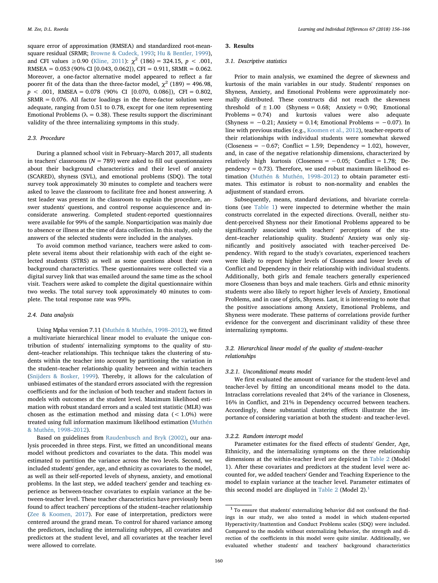square error of approximation (RMSEA) and standardized root-meansquare residual (SRMR; [Browne & Cudeck, 1993](#page-9-21); [Hu & Bentler, 1999](#page-9-22)), and CFI values  $\geq 0.90$  [\(Kline, 2011\)](#page-10-34):  $\chi^2$  (186) = 324.15,  $p < .001$ , RMSEA = 0.053 (90% CI [0.043, 0.062]), CFI = 0.911, SRMR = 0.062. Moreover, a one-factor alternative model appeared to reflect a far poorer fit of the data than the three-factor model,  $\chi^2$  (189) = 496.98,  $p < .001$ , RMSEA = 0.078 (90% CI [0.070, 0.086]), CFI = 0.802,  $SRMR = 0.076$ . All factor loadings in the three-factor solution were adequate, ranging from 0.51 to 0.78, except for one item representing Emotional Problems ( $\lambda = 0.38$ ). These results support the discriminant validity of the three internalizing symptoms in this study.

### 2.3. Procedure

During a planned school visit in February–March 2017, all students in teachers' classrooms ( $N = 789$ ) were asked to fill out questionnaires about their background characteristics and their level of anxiety (SCARED), shyness (SVL), and emotional problems (SDQ). The total survey took approximately 30 minutes to complete and teachers were asked to leave the classroom to facilitate free and honest answering. A test leader was present in the classroom to explain the procedure, answer students' questions, and control response acquiescence and inconsiderate answering. Completed student-reported questionnaires were available for 99% of the sample. Nonparticipation was mainly due to absence or illness at the time of data collection. In this study, only the answers of the selected students were included in the analyses.

To avoid common method variance, teachers were asked to complete several items about their relationship with each of the eight selected students (STRS) as well as some questions about their own background characteristics. These questionnaires were collected via a digital survey link that was emailed around the same time as the school visit. Teachers were asked to complete the digital questionnaire within two weeks. The total survey took approximately 40 minutes to complete. The total response rate was 99%.

### 2.4. Data analysis

Using Mplus version 7.11 [\(Muthén & Muthén, 1998](#page-10-33)–2012), we fitted a multivariate hierarchical linear model to evaluate the unique contribution of students' internalizing symptoms to the quality of student–teacher relationships. This technique takes the clustering of students within the teacher into account by partitioning the variation in the student–teacher relationship quality between and within teachers ([Snijders & Bosker, 1999\)](#page-10-26). Thereby, it allows for the calculation of unbiased estimates of the standard errors associated with the regression coefficients and for the inclusion of both teacher and student factors in models with outcomes at the student level. Maximum likelihood estimation with robust standard errors and a scaled test statistic (MLR) was chosen as the estimation method and missing data  $(< 1.0\%)$  were treated using full information maximum likelihood estimation [\(Muthén](#page-10-33) [& Muthén, 1998](#page-10-33)–2012).

Based on guidelines from [Raudenbusch and Bryk \(2002\)](#page-10-35), our analysis proceeded in three steps. First, we fitted an unconditional means model without predictors and covariates to the data. This model was estimated to partition the variance across the two levels. Second, we included students' gender, age, and ethnicity as covariates to the model, as well as their self-reported levels of shyness, anxiety, and emotional problems. In the last step, we added teachers' gender and teaching experience as between-teacher covariates to explain variance at the between-teacher level. These teacher characteristics have previously been found to affect teachers' perceptions of the student–teacher relationship ([Zee & Koomen, 2017](#page-10-22)). For ease of interpretation, predictors were centered around the grand mean. To control for shared variance among the predictors, including the internalizing subtypes, all covariates and predictors at the student level, and all covariates at the teacher level were allowed to correlate.

#### 3. Results

#### 3.1. Descriptive statistics

Prior to main analysis, we examined the degree of skewness and kurtosis of the main variables in our study. Students' responses on Shyness, Anxiety, and Emotional Problems were approximately normally distributed. These constructs did not reach the skewness threshold of  $\pm$  1.00 (Shyness = 0.68; Anxiety = 0.90; Emotional Problems = 0.74) and kurtosis values were also adequate (Shyness =  $-0.21$ ; Anxiety = 0.14; Emotional Problems =  $-0.07$ ). In line with previous studies (e.g., [Koomen et al., 2012](#page-10-27)), teacher-reports of their relationships with individual students were somewhat skewed (Closeness =  $-0.67$ ; Conflict = 1.59; Dependency = 1.02), however, and, in case of the negative relationship dimensions, characterized by relatively high kurtosis (Closeness =  $-0.05$ ; Conflict = 1.78; De $p$ endency = 0.73). Therefore, we used robust maximum likelihood estimation ([Muthén & Muthén, 1998](#page-10-33)–2012) to obtain parameter estimates. This estimator is robust to non-normality and enables the adjustment of standard errors.

Subsequently, means, standard deviations, and bivariate correlations (see [Table 1](#page-6-0)) were inspected to determine whether the main constructs correlated in the expected directions. Overall, neither student-perceived Shyness nor their Emotional Problems appeared to be significantly associated with teachers' perceptions of the student–teacher relationship quality. Students' Anxiety was only significantly and positively associated with teacher-perceived Dependency. With regard to the study's covariates, experienced teachers were likely to report higher levels of Closeness and lower levels of Conflict and Dependency in their relationship with individual students. Additionally, both girls and female teachers generally experienced more Closeness than boys and male teachers. Girls and ethnic minority students were also likely to report higher levels of Anxiety, Emotional Problems, and in case of girls, Shyness. Last, it is interesting to note that the positive associations among Anxiety, Emotional Problems, and Shyness were moderate. These patterns of correlations provide further evidence for the convergent and discriminant validity of these three internalizing symptoms.

### 3.2. Hierarchical linear model of the quality of student–teacher relationships

## 3.2.1. Unconditional means model

We first evaluated the amount of variance for the student-level and teacher-level by fitting an unconditional means model to the data. Intraclass correlations revealed that 24% of the variance in Closeness, 16% in Conflict, and 21% in Dependency occurred between teachers. Accordingly, these substantial clustering effects illustrate the importance of considering variation at both the student- and teacher-level.

#### 3.2.2. Random intercept model

Parameter estimates for the fixed effects of students' Gender, Age, Ethnicity, and the internalizing symptoms on the three relationship dimensions at the within-teacher level are depicted in [Table 2](#page-6-1) (Model 1). After these covariates and predictors at the student level were accounted for, we added teachers' Gender and Teaching Experience to the model to explain variance at the teacher level. Parameter estimates of this second model are displayed in [Table 2](#page-6-1) (Model 2). $<sup>1</sup>$  $<sup>1</sup>$  $<sup>1</sup>$ </sup>

<span id="page-5-0"></span><sup>1</sup> To ensure that students' externalizing behavior did not confound the findings in our study, we also tested a model in which student-reported Hyperactivity/Inattention and Conduct Problems scales (SDQ) were included. Compared to the models without externalizing behavior, the strength and direction of the coefficients in this model were quite similar. Additionally, we evaluated whether students' and teachers' background characteristics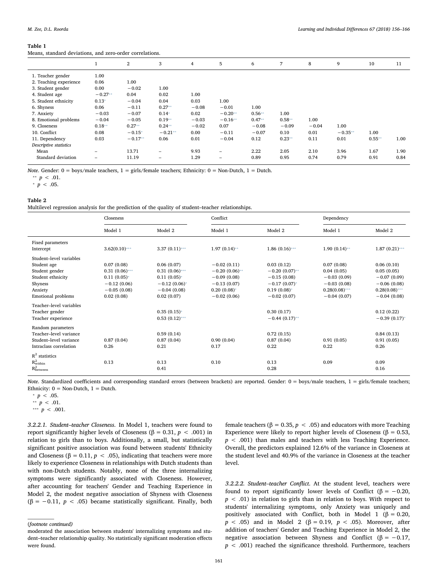#### <span id="page-6-0"></span>Table 1

Means, standard deviations, and zero-order correlations.

|                                                                  |                                  | 2                          | 3                        | 4                       | 5                      | 6                    | 7                | 8               | 9                 | 10               | 11           |
|------------------------------------------------------------------|----------------------------------|----------------------------|--------------------------|-------------------------|------------------------|----------------------|------------------|-----------------|-------------------|------------------|--------------|
| 1. Teacher gender<br>2. Teaching experience<br>3. Student gender | 1.00<br>0.06<br>0.00             | 1.00<br>$-0.02$            | 1.00                     |                         |                        |                      |                  |                 |                   |                  |              |
| 4. Student age<br>5. Student ethnicity<br>6. Shyness             | $-0.27**$<br>$0.13*$<br>0.06     | 0.04<br>$-0.04$<br>$-0.11$ | 0.02<br>0.04<br>$0.27**$ | 1.00<br>0.03<br>$-0.08$ | 1.00<br>$-0.01$        | 1.00                 |                  |                 |                   |                  |              |
| 7. Anxiety<br>8. Emotional problems                              | $-0.03$<br>$-0.04$               | $-0.07$<br>$-0.05$         | $0.14*$<br>$0.19**$      | 0.02<br>$-0.03$         | $-0.20**$<br>$-0.16**$ | $0.56**$<br>$0.47**$ | 1.00<br>$0.58**$ | 1.00            |                   |                  |              |
| 9. Closeness<br>10. Conflict                                     | $0.18**$<br>0.08                 | $0.27**$<br>$-0.15*$       | $0.24**$<br>$-0.21**$    | $-0.02$<br>0.00         | 0.07<br>$-0.11$        | $-0.08$<br>$-0.07$   | $-0.09$<br>0.10  | $-0.04$<br>0.01 | 1.00<br>$-0.35**$ | 1.00             |              |
| 11. Dependency<br>Descriptive statistics<br>Mean                 | 0.03<br>$\overline{\phantom{0}}$ | $-0.17**$<br>13.71         | 0.06<br>-                | 0.01<br>9.93            | $-0.04$<br>-           | 0.12<br>2.22         | $0.23**$<br>2.05 | 0.11<br>2.10    | 0.01<br>3.96      | $0.55**$<br>1.67 | 1.00<br>1.90 |
| Standard deviation                                               | $\overline{\phantom{0}}$         | 11.19                      | $\qquad \qquad$          | 1.29                    | -                      | 0.89                 | 0.95             | 0.74            | 0.79              | 0.91             | 0.84         |

Note. Gender:  $0 = \text{boys/male teachers}, 1 = \text{girls/female teachers};$  Ethnicity:  $0 = \text{Non-Dutch}, 1 = \text{Dutch}.$ 

<span id="page-6-2"></span>\*\*  $p$  < .01.

<span id="page-6-3"></span> $p < .05$ .

### <span id="page-6-1"></span>Table 2

Multilevel regression analysis for the prediction of the quality of student–teacher relationships.

|                         | Closeness        |                   | Conflict         |                   | Dependency       |                  |  |
|-------------------------|------------------|-------------------|------------------|-------------------|------------------|------------------|--|
|                         | Model 1          | Model 2           | Model 1          | Model 2           | Model 1          | Model 2          |  |
| Fixed parameters        |                  |                   |                  |                   |                  |                  |  |
| Intercept               | $3.62(0.10)$ *** | $3.37(0.11)$ ***  | $1.97(0.14)$ **  | $1.86(0.16)$ ***  | $1.90(0.14)$ **  | $1.87(0.21)$ *** |  |
| Student-level variables |                  |                   |                  |                   |                  |                  |  |
| Student age             | 0.07(0.08)       | 0.06(0.07)        | $-0.02(0.11)$    | 0.03(0.12)        | 0.07(0.08)       | 0.06(0.10)       |  |
| Student gender          | $0.31(0.06)$ *** | $0.31(0.06)$ ***  | $-0.20(0.06)$ ** | $-0.20(0.07)$ **  | 0.04(0.05)       | 0.05(0.05)       |  |
| Student ethnicity       | $0.11(0.05)$ *   | $0.11(0.05)$ *    | $-0.09(0.08)$    | $-0.15(0.08)$     | $-0.03(0.09)$    | $-0.07(0.09)$    |  |
| Shyness                 | $-0.12(0.06)$    | $-0.12(0.06)^{*}$ | $-0.13(0.07)$    | $-0.17(0.07)^{*}$ | $-0.03(0.08)$    | $-0.06(0.08)$    |  |
| Anxiety                 | $-0.05(0.08)$    | $-0.04(0.08)$     | $0.20(0.08)$ *   | $0.19(0.08)$ *    | $0.28(0.08)$ *** | $0.28(0.08)$ *** |  |
| Emotional problems      | 0.02(0.08)       | 0.02(0.07)        | $-0.02(0.06)$    | $-0.02(0.07)$     | $-0.04(0.07)$    | $-0.04(0.08)$    |  |
| Teacher-level variables |                  |                   |                  |                   |                  |                  |  |
| Teacher gender          |                  | $0.35(0.15)$ *    |                  | 0.30(0.17)        |                  | 0.12(0.22)       |  |
| Teacher experience      |                  | $0.53(0.12)$ ***  |                  | $-0.44(0.17)$ **  |                  | $-0.39(0.17)$ *  |  |
| Random parameters       |                  |                   |                  |                   |                  |                  |  |
| Teacher-level variance  |                  | 0.59(0.14)        |                  | 0.72(0.15)        |                  | 0.84(0.13)       |  |
| Student-level variance  | 0.87(0.04)       | 0.87(0.04)        | 0.90(0.04)       | 0.87(0.04)        | 0.91(0.05)       | 0.91(0.05)       |  |
| Intraclass correlation  | 0.26             | 0.21              | 0.17             | 0.22              | 0.22             | 0.26             |  |
| $R2$ statistics         |                  |                   |                  |                   |                  |                  |  |
| $R_{within}^2$          | 0.13             | 0.13              | 0.10             | 0.13              | 0.09             | 0.09             |  |
| $R^2_{between}$         |                  | 0.41              |                  | 0.28              |                  | 0.16             |  |
|                         |                  |                   |                  |                   |                  |                  |  |

Note. Standardized coefficients and corresponding standard errors (between brackets) are reported. Gender: 0 = boys/male teachers, 1 = girls/female teachers; Ethnicity:  $0 = \text{Non-Dutch}, 1 = \text{Dutch}.$ 

<span id="page-6-6"></span> $p < .05$ .

<span id="page-6-5"></span>\*\*  $p < .01$ .

<span id="page-6-4"></span>\*\*\*  $p < .001$ .

3.2.2.1. Student–teacher Closeness. In Model 1, teachers were found to report significantly higher levels of Closeness (β = 0.31,  $p$  < .001) in relation to girls than to boys. Additionally, a small, but statistically significant positive association was found between students' Ethnicity and Closeness ( $\beta = 0.11$ ,  $p < .05$ ), indicating that teachers were more likely to experience Closeness in relationships with Dutch students than with non-Dutch students. Notably, none of the three internalizing symptoms were significantly associated with Closeness. However, after accounting for teachers' Gender and Teaching Experience in Model 2, the modest negative association of Shyness with Closeness ( $\beta$  = −0.11,  $p$  < .05) became statistically significant. Finally, both female teachers (β = 0.35,  $p$  < .05) and educators with more Teaching Experience were likely to report higher levels of Closeness ( $\beta = 0.53$ ,  $p < .001$ ) than males and teachers with less Teaching Experience. Overall, the predictors explained 12.6% of the variance in Closeness at the student level and 40.9% of the variance in Closeness at the teacher level.

3.2.2.2. Student–teacher Conflict. At the student level, teachers were found to report significantly lower levels of Conflict ( $\beta = -0.20$ ,  $p < .01$ ) in relation to girls than in relation to boys. With respect to students' internalizing symptoms, only Anxiety was uniquely and positively associated with Conflict, both in Model 1 ( $\beta = 0.20$ ,  $p < .05$ ) and in Model 2 ( $\beta = 0.19$ ,  $p < .05$ ). Moreover, after addition of teachers' Gender and Teaching Experience in Model 2, the negative association between Shyness and Conflict ( $β = -0.17$ ,  $p < .001$ ) reached the significance threshold. Furthermore, teachers

<sup>(</sup>footnote continued)

moderated the association between students' internalizing symptoms and student–teacher relationship quality. No statistically significant moderation effects were found.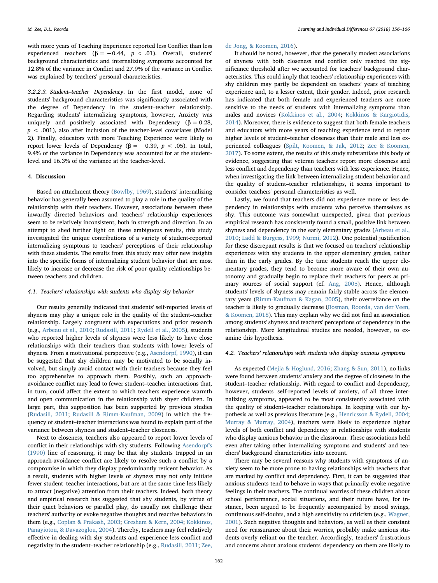M. Zee, D.L. Roorda *Learning and Individual Differences 67 (2018) 156–166*

with more years of Teaching Experience reported less Conflict than less experienced teachers ( $\beta = -0.44$ ,  $p < .01$ ). Overall, students' background characteristics and internalizing symptoms accounted for 12.8% of the variance in Conflict and 27.9% of the variance in Conflict was explained by teachers' personal characteristics.

3.2.2.3. Student–teacher Dependency. In the first model, none of students' background characteristics was significantly associated with the degree of Dependency in the student–teacher relationship. Regarding students' internalizing symptoms, however, Anxiety was uniquely and positively associated with Dependency  $(β = 0.28,$  $p < .001$ ), also after inclusion of the teacher-level covariates (Model 2). Finally, educators with more Teaching Experience were likely to report lower levels of Dependency (β = -0.39,  $p$  < .05). In total, 9.4% of the variance in Dependency was accounted for at the studentlevel and 16.3% of the variance at the teacher-level.

### 4. Discussion

Based on attachment theory [\(Bowlby, 1969](#page-9-4)), students' internalizing behavior has generally been assumed to play a role in the quality of the relationship with their teachers. However, associations between these inwardly directed behaviors and teachers' relationship experiences seem to be relatively inconsistent, both in strength and direction. In an attempt to shed further light on these ambiguous results, this study investigated the unique contributions of a variety of student-reported internalizing symptoms to teachers' perceptions of their relationship with these students. The results from this study may offer new insights into the specific forms of internalizing student behavior that are most likely to increase or decrease the risk of poor-quality relationships between teachers and children.

#### 4.1. Teachers' relationships with students who display shy behavior

Our results generally indicated that students' self-reported levels of shyness may play a unique role in the quality of the student–teacher relationship. Largely congruent with expectations and prior research (e.g., [Arbeau et al., 2010;](#page-9-6) [Rudasill, 2011;](#page-10-7) [Rydell et al., 2005\)](#page-10-8), students who reported higher levels of shyness were less likely to have close relationships with their teachers than students with lower levels of shyness. From a motivational perspective (e.g., [Asendorpf, 1990](#page-9-8)), it can be suggested that shy children may be motivated to be socially involved, but simply avoid contact with their teachers because they feel too apprehensive to approach them. Possibly, such an approachavoidance conflict may lead to fewer student–teacher interactions that, in turn, could affect the extent to which teachers experience warmth and open communication in the relationship with shyer children. In large part, this supposition has been supported by previous studies ([Rudasill, 2011;](#page-10-7) [Rudasill & Rimm-Kaufman, 2009](#page-10-20)) in which the frequency of student–teacher interactions was found to explain part of the variance between shyness and student–teacher closeness.

Next to closeness, teachers also appeared to report lower levels of conflict in their relationships with shy students. Following [Asendorpf's](#page-9-8) [\(1990\)](#page-9-8) line of reasoning, it may be that shy students trapped in an approach-avoidance conflict are likely to resolve such a conflict by a compromise in which they display predominantly reticent behavior. As a result, students with higher levels of shyness may not only initiate fewer student–teacher interactions, but are at the same time less likely to attract (negative) attention from their teachers. Indeed, both theory and empirical research has suggested that shy students, by virtue of their quiet behaviors or parallel play, do usually not challenge their teachers' authority or evoke negative thoughts and reactive behaviors in them (e.g., [Coplan & Prakash, 2003;](#page-9-9) [Gresham & Kern, 2004](#page-9-23); [Kokkinos,](#page-10-36) [Panayiotou, & Davazoglou, 2004](#page-10-36)). Thereby, teachers may feel relatively effective in dealing with shy students and experience less conflict and negativity in the student–teacher relationship (e.g., [Rudasill, 2011;](#page-10-7) [Zee,](#page-10-37)

#### [de Jong, & Koomen, 2016](#page-10-37)).

It should be noted, however, that the generally modest associations of shyness with both closeness and conflict only reached the significance threshold after we accounted for teachers' background characteristics. This could imply that teachers' relationship experiences with shy children may partly be dependent on teachers' years of teaching experience and, to a lesser extent, their gender. Indeed, prior research has indicated that both female and experienced teachers are more sensitive to the needs of students with internalizing symptoms than males and novices ([Kokkinos et al., 2004;](#page-10-36) [Kokkinos & Kargiotidis,](#page-10-38) [2014\)](#page-10-38). Moreover, there is evidence to suggest that both female teachers and educators with more years of teaching experience tend to report higher levels of student–teacher closeness than their male and less experienced colleagues [\(Spilt, Koomen, & Jak, 2012;](#page-10-39) [Zee & Koomen,](#page-10-22) [2017\)](#page-10-22). To some extent, the results of this study substantiate this body of evidence, suggesting that veteran teachers report more closeness and less conflict and dependency than teachers with less experience. Hence, when investigating the link between internalizing student behavior and the quality of student–teacher relationships, it seems important to consider teachers' personal characteristics as well.

Lastly, we found that teachers did not experience more or less dependency in relationships with students who perceive themselves as shy. This outcome was somewhat unexpected, given that previous empirical research has consistently found a small, positive link between shyness and dependency in the early elementary grades ([Arbeau et al.,](#page-9-6) [2010;](#page-9-6) [Ladd & Burgess, 1999;](#page-10-5) [Nurmi, 2012](#page-10-21)). One potential justification for these discrepant results is that we focused on teachers' relationship experiences with shy students in the upper elementary grades, rather than in the early grades. By the time students reach the upper elementary grades, they tend to become more aware of their own autonomy and gradually begin to replace their teachers for peers as primary sources of social support (cf. [Ang, 2005\)](#page-9-24). Hence, although students' levels of shyness may remain fairly stable across the elementary years [\(Rimm-Kaufman & Kagan, 2005](#page-10-40)), their overreliance on the teacher is likely to gradually decrease [\(Bosman, Roorda, van der Veen,](#page-9-25) [& Koomen, 2018\)](#page-9-25). This may explain why we did not find an association among students' shyness and teachers' perceptions of dependency in the relationship. More longitudinal studies are needed, however, to examine this hypothesis.

#### 4.2. Teachers' relationships with students who display anxious symptoms

As expected ([Mejia & Hoglund, 2016](#page-10-6); [Zhang & Sun, 2011](#page-11-0)), no links were found between students' anxiety and the degree of closeness in the student–teacher relationship. With regard to conflict and dependency, however, students' self-reported levels of anxiety, of all three internalizing symptoms, appeared to be most consistently associated with the quality of student–teacher relationships. In keeping with our hypothesis as well as previous literature (e.g., [Henricsson & Rydell, 2004](#page-9-12); [Murray & Murray, 2004\)](#page-10-9), teachers were likely to experience higher levels of both conflict and dependency in relationships with students who display anxious behavior in the classroom. These associations held even after taking other internalizing symptoms and students' and teachers' background characteristics into account.

There may be several reasons why students with symptoms of anxiety seem to be more prone to having relationships with teachers that are marked by conflict and dependency. First, it can be suggested that anxious students tend to behave in ways that primarily evoke negative feelings in their teachers. The continual worries of these children about school performance, social situations, and their future have, for instance, been argued to be frequently accompanied by mood swings, continuous self-doubts, and a high sensitivity to criticism (e.g., [Wagner,](#page-10-41) [2001\)](#page-10-41). Such negative thoughts and behaviors, as well as their constant need for reassurance about their worries, probably make anxious students overly reliant on the teacher. Accordingly, teachers' frustrations and concerns about anxious students' dependency on them are likely to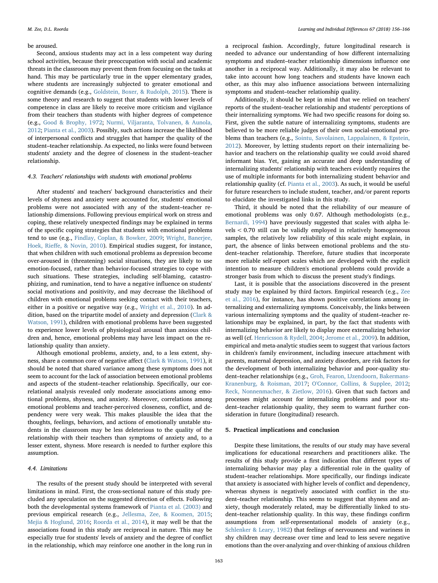#### be aroused.

Second, anxious students may act in a less competent way during school activities, because their preoccupation with social and academic threats in the classroom may prevent them from focusing on the tasks at hand. This may be particularly true in the upper elementary grades, where students are increasingly subjected to greater emotional and cognitive demands (e.g., [Goldstein, Boxer, & Rudolph, 2015](#page-9-26)). There is some theory and research to suggest that students with lower levels of competence in class are likely to receive more criticism and vigilance from their teachers than students with higher degrees of competence (e.g., [Good & Brophy, 1972](#page-9-27); [Nurmi, Viljaranta, Tolvanen, & Aunola,](#page-10-42) [2012;](#page-10-42) [Pianta et al., 2003\)](#page-10-10). Possibly, such actions increase the likelihood of interpersonal conflicts and struggles that hamper the quality of the student–teacher relationship. As expected, no links were found between students' anxiety and the degree of closeness in the student–teacher relationship.

### 4.3. Teachers' relationships with students with emotional problems

After students' and teachers' background characteristics and their levels of shyness and anxiety were accounted for, students' emotional problems were not associated with any of the student–teacher relationship dimensions. Following previous empirical work on stress and coping, these relatively unexpected findings may be explained in terms of the specific coping strategies that students with emotional problems tend to use (e.g., [Findlay, Coplan, & Bowker, 2009](#page-9-28); [Wright, Banerjee,](#page-10-43) Hoek, Rieff[e, & Novin, 2010](#page-10-43)). Empirical studies suggest, for instance, that when children with such emotional problems as depression become over-aroused in (threatening) social situations, they are likely to use emotion-focused, rather than behavior-focused strategies to cope with such situations. These strategies, including self-blaming, catastrophizing, and rumination, tend to have a negative influence on students' social motivations and positivity, and may decrease the likelihood of children with emotional problems seeking contact with their teachers, either in a positive or negative way (e.g., [Wright et al., 2010](#page-10-43)). In addition, based on the tripartite model of anxiety and depression [\(Clark &](#page-9-29) [Watson, 1991](#page-9-29)), children with emotional problems have been suggested to experience lower levels of physiological arousal than anxious children and, hence, emotional problems may have less impact on the relationship quality than anxiety.

Although emotional problems, anxiety, and, to a less extent, shyness, share a common core of negative affect [\(Clark & Watson, 1991](#page-9-29)), it should be noted that shared variance among these symptoms does not seem to account for the lack of association between emotional problems and aspects of the student–teacher relationship. Specifically, our correlational analysis revealed only moderate associations among emotional problems, shyness, and anxiety. Moreover, correlations among emotional problems and teacher-perceived closeness, conflict, and dependency were very weak. This makes plausible the idea that the thoughts, feelings, behaviors, and actions of emotionally unstable students in the classroom may be less deleterious to the quality of the relationship with their teachers than symptoms of anxiety and, to a lesser extent, shyness. More research is needed to further explore this assumption.

### 4.4. Limitations

The results of the present study should be interpreted with several limitations in mind. First, the cross-sectional nature of this study precluded any speculation on the suggested direction of effects. Following both the developmental systems framework of [Pianta et al. \(2003\)](#page-10-10) and previous empirical research (e.g., [Jellesma, Zee, & Koomen, 2015](#page-9-30); [Mejia & Hoglund, 2016](#page-10-6); [Roorda et al., 2014](#page-10-14)), it may well be that the associations found in this study are reciprocal in nature. This may be especially true for students' levels of anxiety and the degree of conflict in the relationship, which may reinforce one another in the long run in

a reciprocal fashion. Accordingly, future longitudinal research is needed to advance our understanding of how different internalizing symptoms and student–teacher relationship dimensions influence one another in a reciprocal way. Additionally, it may also be relevant to take into account how long teachers and students have known each other, as this may also influence associations between internalizing symptoms and student–teacher relationship quality.

Additionally, it should be kept in mind that we relied on teachers' reports of the student–teacher relationship and students' perceptions of their internalizing symptoms. We had two specific reasons for doing so. First, given the subtle nature of internalizing symptoms, students are believed to be more reliable judges of their own social-emotional problems than teachers (e.g., [Sointu, Savolainen, Lappalainen, & Epstein,](#page-10-44) [2012\)](#page-10-44). Moreover, by letting students report on their internalizing behavior and teachers on the relationship quality we could avoid shared informant bias. Yet, gaining an accurate and deep understanding of internalizing students' relationship with teachers evidently requires the use of multiple informants for both internalizing student behavior and relationship quality (cf. [Pianta et al., 2003\)](#page-10-10). As such, it would be useful for future researchers to include student, teacher, and/or parent reports to elucidate the investigated links in this study.

Third, it should be noted that the reliability of our measure of emotional problems was only 0.67. Although methodologists (e.g., [Bernardi, 1994\)](#page-9-20) have previously suggested that scales with alpha levels < 0.70 still can be validly employed in relatively homogeneous samples, the relatively low reliability of this scale might explain, in part, the absence of links between emotional problems and the student–teacher relationship. Therefore, future studies that incorporate more reliable self-report scales which are developed with the explicit intention to measure children's emotional problems could provide a stronger basis from which to discuss the present study's findings.

Last, it is possible that the associations discovered in the present study may be explained by third factors. Empirical research (e.g., [Zee](#page-10-37) [et al., 2016](#page-10-37)), for instance, has shown positive correlations among internalizing and externalizing symptoms. Conceivably, the links between various internalizing symptoms and the quality of student–teacher relationships may be explained, in part, by the fact that students with internalizing behavior are likely to display more externalizing behavior as well (cf. [Henricsson & Rydell, 2004;](#page-9-12) [Jerome et al., 2009\)](#page-9-2). In addition, empirical and meta-analytic studies seem to suggest that various factors in children's family environment, including insecure attachment with parents, maternal depression, and anxiety disorders, are risk factors for the development of both internalizing behavior and poor-quality student–teacher relationships (e.g., [Groh, Fearon, IJzendoorn, Bakermans-](#page-9-31)[Kranenburg, & Roisman, 2017](#page-9-31); [O'Connor, Collins, & Supplee, 2012](#page-10-45); [Reck, Nonnenmacher, & Zietlow, 2016\)](#page-10-46). Given that such factors and processes might account for internalizing problems and poor student–teacher relationship quality, they seem to warrant further consideration in future (longitudinal) research.

#### 5. Practical implications and conclusion

Despite these limitations, the results of our study may have several implications for educational researchers and practitioners alike. The results of this study provide a first indication that different types of internalizing behavior may play a differential role in the quality of student–teacher relationships. More specifically, our findings indicate that anxiety is associated with higher levels of conflict and dependency, whereas shyness is negatively associated with conflict in the student–teacher relationship. This seems to suggest that shyness and anxiety, though moderately related, may be differentially linked to student–teacher relationship quality. In this way, these findings confirm assumptions from self-representational models of anxiety (e.g., [Schlenker & Leary, 1982\)](#page-10-47) that feelings of nervousness and wariness in shy children may decrease over time and lead to less severe negative emotions than the over-analyzing and over-thinking of anxious children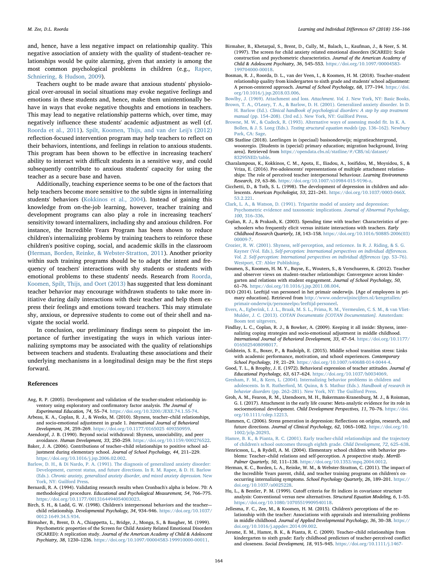and, hence, have a less negative impact on relationship quality. This negative association of anxiety with the quality of student–teacher relationships would be quite alarming, given that anxiety is among the most common psychological problems in children (e.g., [Rapee,](#page-10-48) [Schniering, & Hudson, 2009](#page-10-48)).

Teachers ought to be made aware that anxious students' physiological over-arousal in social situations may evoke negative feelings and emotions in these students and, hence, make them unintentionally behave in ways that evoke negative thoughts and emotions in teachers. This may lead to negative relationship patterns which, over time, may negatively influence these students' academic adjustment as well (cf. [Roorda et al., 2011\)](#page-10-1). [Spilt, Koomen, Thijs, and van der Leij's \(2012\)](#page-10-49) reflection-focused intervention program may help teachers to reflect on their behaviors, intentions, and feelings in relation to anxious students. This program has been shown to be effective in increasing teachers' ability to interact with difficult students in a sensitive way, and could subsequently contribute to anxious students' capacity for using the teacher as a secure base and haven.

Additionally, teaching experience seems to be one of the factors that help teachers become more sensitive to the subtle signs in internalizing students' behaviors ([Kokkinos et al., 2004\)](#page-10-36). Instead of gaining this knowledge from on-the-job learning, however, teacher training and development programs can also play a role in increasing teachers' sensitivity toward internalizers, including shy and anxious children. For instance, the Incredible Years Program has been shown to reduce children's internalizing problems by training teachers to reinforce these children's positive coping, social, and academic skills in the classroom ([Herman, Borden, Reinke, & Webster-Stratton, 2011](#page-9-32)). Another priority within such training programs should be to adapt the intent and frequency of teachers' interactions with shy students or students with emotional problems to these students' needs. Research from [Roorda,](#page-10-50) [Koomen, Spilt, Thijs, and Oort \(2013\)](#page-10-50) has suggested that less dominant teacher behavior may encourage withdrawn students to take more initiative during daily interactions with their teacher and help them express their feelings and emotions toward teachers. This may stimulate shy, anxious, or depressive students to come out of their shell and navigate the social world.

In conclusion, our preliminary findings seem to pinpoint the importance of further investigating the ways in which various internalizing symptoms may be associated with the quality of relationships between teachers and students. Evaluating these associations and their underlying mechanisms in a longitudinal design may be the first steps forward.

#### References

- <span id="page-9-24"></span>Ang, R. P. (2005). Development and validation of the teacher-student relationship inventory using exploratory and confirmatory factor analysis. The Journal of Experimental Education, 74, 55–74. <https://doi.org/10.3200/JEXE.74.1.55-74>.
- <span id="page-9-6"></span>Arbeau, K. A., Coplan, R. J., & Weeks, M. (2010). Shyness, teacher–child relationships, and socio-emotional adjustment in grade 1. International Journal of Behavioral Development, 34, 259–269. <https://doi.org/10.1177/0165025 409350959>.
- <span id="page-9-8"></span>Asendorpf, J. B. (1990). Beyond social withdrawal: Shyness, unsociability, and peer avoidance. Human Development, 33, 250–259. <https://doi.org/10.1159/000276522>. Baker, J. A. (2006). Contributions of teacher–child relationships to positive school ad-
- <span id="page-9-1"></span>justment during elementary school. Journal of School Psychology, 44, 211–229. [https://doi.org/10.1016/j.jsp.2006.02.002.](https://doi.org/10.1016/j.jsp.2006.02.002) [Barlow, D. H., & Di Nardo, P. A. \(1991\). The diagnosis of generalized anxiety disorder:](http://refhub.elsevier.com/S1041-6080(18)30138-9/rf0025)
- <span id="page-9-10"></span>[Development, current status, and future directions. In R. M. Rapee, & D. H. Barlow](http://refhub.elsevier.com/S1041-6080(18)30138-9/rf0025) (Eds.). [Chronic anxiety, generalized anxiety disorder, and mixed anxiety depression](http://refhub.elsevier.com/S1041-6080(18)30138-9/rf0025). New York, NY: Guilford Pre
- <span id="page-9-20"></span>Bernardi, R. A. (1994). Validating research results when Cronbach's alpha is below. 70: A methodological procedure. Educational and Psychological Measurement, 54, 766–775. [https://doi.org/10.1177/0013164494054003023.](https://doi.org/10.1177/0013164494054003023)
- <span id="page-9-3"></span>Birch, S. H., & Ladd, G. W. (1998). Children's interpersonal behaviors and the teacher– child relationship. Developmental Psychology, 34, 934–946. [https://doi.org/10.1037/](https://doi.org/10.1037/0012-1649.34.5.934) [0012-1649.34.5.934](https://doi.org/10.1037/0012-1649.34.5.934).
- Birmaher, B., Brent, D. A., Chiappetta, L., Bridge, J., Monga, S., & Baugher, M. (1999). Psychometric properties of the Screen for Child Anxiety Related Emotional Disorders (SCARED): A replication study. Journal of the American Academy of Child & Adolescent Psychiatry, 38, 1230–1236. [https://doi.org/10.1097/00004583-199910000-00011.](https://doi.org/10.1097/00004583-199910000-00011)
- <span id="page-9-19"></span>Birmaher, B., Khetarpal, S., Brent, D., Cully, M., Balach, L., Kaufman, J., & Neer, S. M. (1997). The screen for child anxiety related emotional disorders (SCARED): Scale construction and psychometric characteristics. Journal of the American Academy of Child & Adolescent Psychiatry, 36, 545–553. [https://doi.org/10.1097/00004583-](https://doi.org/10.1097/00004583-199704000-00018) [199704000-00018.](https://doi.org/10.1097/00004583-199704000-00018)
- <span id="page-9-25"></span>Bosman, R. J., Roorda, D. L., van der Veen, I., & Koomen, H. M. (2018). Teacher-student relationship quality from kindergarten to sixth grade and students' school adjustment: A person-centered approach. Journal of School Psychology, 68, 177–194. [https://doi.](https://doi.org/10.1016/j.jsp.2018.03.006) [org/10.1016/j.jsp.2018.03.006.](https://doi.org/10.1016/j.jsp.2018.03.006)
- <span id="page-9-11"></span><span id="page-9-4"></span>[Bowlby, J. \(1969\). Attachment and loss.](http://refhub.elsevier.com/S1041-6080(18)30138-9/rf0055) Attachment. Vol. 1. New York, NY: Basic Books. [Brown, T. A., O'Leary, T. A., & Barlow, D. H. \(2001\). Generalized anxiety disorder. In D.](http://refhub.elsevier.com/S1041-6080(18)30138-9/rf0060) H. Barlow (Ed.). [Clinical handbook of psychological disorders: A step by step treatment](http://refhub.elsevier.com/S1041-6080(18)30138-9/rf0060) manual (pp. 154–[208\). \(3rd ed.\). New York, NY: Guilford Press.](http://refhub.elsevier.com/S1041-6080(18)30138-9/rf0060)
- <span id="page-9-21"></span>[Browne, M. W., & Cudeck, R. \(1993\). Alternative ways of assessing model](http://refhub.elsevier.com/S1041-6080(18)30138-9/rf0065) fit. In K. A. Bollen, & J. S. Long (Eds.). [Testing structural equation models](http://refhub.elsevier.com/S1041-6080(18)30138-9/rf0065) (pp. 136–162). Newbury [Park, CA: Sage.](http://refhub.elsevier.com/S1041-6080(18)30138-9/rf0065)
- <span id="page-9-15"></span>CBS Statline (2018). Leerlingen in (speciaal) basisonderwijs; migratieachtergrond, woonregio. [Students in (special) primary education; migration background, living area]. Retrieved from [https://opendata.cbs.nl/statline/#/CBS/nl/dataset/](https://opendata.cbs.nl/statline/#/CBS/nl/dataset/83295NED/table) [83295NED/table](https://opendata.cbs.nl/statline/#/CBS/nl/dataset/83295NED/table).
- <span id="page-9-5"></span>Charalampous, K., Kokkinos, C. M., Apota, E., Iliadou, A., Iosifidou, M., Moysidou, S., & Vriza, E. (2016). Pre-adolescents' representations of multiple attachment relationships: The role of perceived teacher interpersonal behaviour. Learning Environments Research, 19, 63–86. <https://doi.org/10.1007/s10984-015-9196-z>.
- <span id="page-9-13"></span>Cicchetti, D., & Toth, S. L. (1998). The development of depression in children and adolescents. American Psychologist, 53, 221–241. [https://doi.org/10.1037/0003-066X.](https://doi.org/10.1037/0003-066X.53.2.221) [53.2.221.](https://doi.org/10.1037/0003-066X.53.2.221)
- <span id="page-9-29"></span>[Clark, L. A., & Watson, D. \(1991\). Tripartite model of anxiety and depression:](http://refhub.elsevier.com/S1041-6080(18)30138-9/rf0090) [Psychometric evidence and taxonomic implications.](http://refhub.elsevier.com/S1041-6080(18)30138-9/rf0090) Journal of Abnormal Psychology, 100[, 316](http://refhub.elsevier.com/S1041-6080(18)30138-9/rf0090)–336.
- <span id="page-9-9"></span>Coplan, R. J., & Prakash, K. (2003). Spending time with teacher: Characteristics of preschoolers who frequently elicit versus initiate interactions with teachers. Early Childhood Research Quarterly, 18, 143–158. [https://doi.org/10.1016/S0885-2006\(03\)](https://doi.org/10.1016/S0885-2006(03)00009-7) [00009-7](https://doi.org/10.1016/S0885-2006(03)00009-7).
- <span id="page-9-7"></span>[Crozier, R. W. \(2001\). Shyness, self-perception, and reticence. In R. J. Riding, & S. G.](http://refhub.elsevier.com/S1041-6080(18)30138-9/rf0100) Kayner (Vol. Eds.), [Self-perception: International perspectives on individual di](http://refhub.elsevier.com/S1041-6080(18)30138-9/rf0100)fferences. Vol. 2. [Self-perception: International perspectives on individual di](http://refhub.elsevier.com/S1041-6080(18)30138-9/rf0100)fferences (pp. 53–76). [Westport, CT: Abler Publishing.](http://refhub.elsevier.com/S1041-6080(18)30138-9/rf0100)
- <span id="page-9-17"></span>Doumen, S., Koomen, H. M. Y., Buyse, E., Wouters, S., & Verschueren, K. (2012). Teacher and observer views on student–teacher relationships: Convergence across kindergarten and relations with student engagement. Journal of School Psychology, 50, 61–76. <https://doi.org/10.1016/j.jsp.2011.08.004>.
- <span id="page-9-16"></span>DUO (2014). Leeftijd van personeel in het primair onderwijs. [Age of employees in primary education]. Retrieved from [http://www.onderwijsincijfers.nl/kengetallen/](http://www.onderwijsincijfers.nl/kengetallen/primair-onderwijs/personeelpo/leeftijd-personeel) [primair-onderwijs/personeelpo/leeftijd-personeel](http://www.onderwijsincijfers.nl/kengetallen/primair-onderwijs/personeelpo/leeftijd-personeel).
- <span id="page-9-18"></span>[Evers, A., Egberink, I. J. L., Braak, M. S. L., Frima, R. M., Vermeulen, C. S. M., & van Vliet-](http://refhub.elsevier.com/S1041-6080(18)30138-9/rf0110)Mulder, J. C. (2013). [COTAN Documentatie \[COTAN Documentation\].](http://refhub.elsevier.com/S1041-6080(18)30138-9/rf0110) Amsterdam: [Boom test uitgevers.](http://refhub.elsevier.com/S1041-6080(18)30138-9/rf0110)
- <span id="page-9-28"></span>Findlay, L. C., Coplan, R. J., & Bowker, A. (2009). Keeping it all inside: Shyness, internalizing coping strategies and socio-emotional adjustment in middle childhood. International Journal of Behavioral Development, 33, 47–54. [https://doi.org/10.1177/](https://doi.org/10.1177/0165025408098017) [0165025408098017.](https://doi.org/10.1177/0165025408098017)
- <span id="page-9-26"></span>Goldstein, S. E., Boxer, P., & Rudolph, E. (2015). Middle school transition stress: Links with academic performance, motivation, and school experiences. Contemporary School Psychology, 19, 21–29. <https://doi.org/10.1007/s40688-014-0044-4>.
- <span id="page-9-27"></span>Good, T. L., & Brophy, J. E. (1972). Behavioral expression of teacher attitudes. Journal of Educational Psychology, 63, 617–624. [https://doi.org/10.1037/h0034069.](https://doi.org/10.1037/h0034069)
- <span id="page-9-23"></span>[Gresham, F. M., & Kern, L. \(2004\). Internalizing behavior problems in children and](http://refhub.elsevier.com/S1041-6080(18)30138-9/rf0130) [adolescents. In R. Rutherford, M. Quinn, & S. Mathur \(Eds.\).](http://refhub.elsevier.com/S1041-6080(18)30138-9/rf0130) Handbook of research in behavior disorders (pp. 262–[281\). New York, NY: The Guilford Press](http://refhub.elsevier.com/S1041-6080(18)30138-9/rf0130).
- <span id="page-9-31"></span>Groh, A. M., Fearon, R. M., IJzendoorn, M. H., Bakermans-Kranenburg, M. J., & Roisman, G. I. (2017). Attachment in the early life course: Meta-analytic evidence for its role in socioemotional development. Child Development Perspectives, 11, 70–76. [https://doi.](https://doi.org/10.1111/cdep.12213) [org/10.1111/cdep.12213](https://doi.org/10.1111/cdep.12213).
- <span id="page-9-14"></span>Hammen, C. (2006). Stress generation in depression: Reflections on origins, research, and future directions. Journal of Clinical Psychology, 62, 1065–1082. [https://doi.org/10.](https://doi.org/10.1002/jclp.20293) [1002/jclp.20293](https://doi.org/10.1002/jclp.20293).
- <span id="page-9-0"></span>[Hamre, B. K., & Pianta, R. C. \(2001\). Early teacher-child relationships and the trajectory](http://refhub.elsevier.com/S1041-6080(18)30138-9/rf0145) [of children's school outcomes through eighth grade.](http://refhub.elsevier.com/S1041-6080(18)30138-9/rf0145) Child Development, 72, 625–638.
- <span id="page-9-12"></span>Henricsson, L., & Rydell, A. M. (2004). Elementary school children with behavior problems: Teacher–child relations and self-perception. A prospective study. Merrill-Palmer Quarterly, 50, 111–138. <https://doi.org/10.1353/mpq.2004.0012>.
- <span id="page-9-32"></span>Herman, K. C., Borden, L. A., Reinke, W. M., & Webster-Stratton, C. (2011). The impact of the Incredible Years parent, child, and teacher training programs on children's cooccurring internalizing symptoms. School Psychology Quarterly, 26, 189–201. [https://](https://doi.org/10.1037/a0025228) [doi.org/10.1037/a0025228.](https://doi.org/10.1037/a0025228)
- <span id="page-9-22"></span>Hu, L., & Bentler, P. M. (1999). Cutoff criteria for fit indices in covariance structure analysis: Conventional versus new alternatives. Structural Equation Modeling, 6, 1–55. <https://doi.org/10.1080/10705519909540118>.
- <span id="page-9-30"></span>Jellesma, F. C., Zee, M., & Koomen, H. M. (2015). Children's perceptions of the relationship with the teacher: Associations with appraisals and internalizing problems in middle childhood. Journal of Applied Developmental Psychology, 36, 30–38. [https://](https://doi.org/10.1016/j.appdev.2014.09.002) [doi.org/10.1016/j.appdev.2014.09.002.](https://doi.org/10.1016/j.appdev.2014.09.002)
- <span id="page-9-2"></span>Jerome, E. M., Hamre, B. K., & Pianta, R. C. (2009). Teacher–child relationships from kindergarten to sixth grade: Early childhood predictors of teacher-perceived conflict and closeness. Social Development, 18, 915–945. [https://doi.org/10.1111/j.1467-](https://doi.org/10.1111/j.1467-9507.2008.00508.x)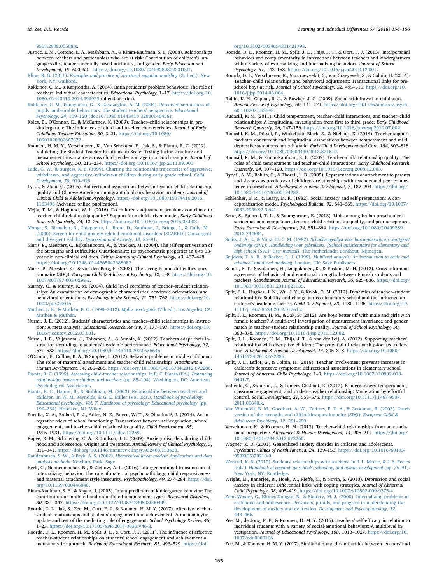#### [9507.2008.00508.x.](https://doi.org/10.1111/j.1467-9507.2008.00508.x)

- <span id="page-10-18"></span>Justice, L. M., Cottone, E. A., Mashburn, A., & Rimm-Kaufman, S. E. (2008). Relationships between teachers and preschoolers who are at risk: Contribution of children's language skills, temperamentally based attributes, and gender. Early Education and Development, 19, 600–621. [https://doi.org/10.1080/10409280802231021.](https://doi.org/10.1080/10409280802231021)
- <span id="page-10-34"></span>Kline, R. B. (2011). [Principles and practice of structural equation modeling](http://refhub.elsevier.com/S1041-6080(18)30138-9/rf0180) (3rd ed.). New [York, NY: Guilford.](http://refhub.elsevier.com/S1041-6080(18)30138-9/rf0180)
- <span id="page-10-38"></span>Kokkinos, C. M., & Kargiotidis, A. (2014). Rating students' problem behaviour: The role of teachers' individual characteristics. Educational Psychology, 1–17. [https://doi.org/10.](https://doi.org/10.1080/01443410.2014.993929) [1080/01443410.2014.993929](https://doi.org/10.1080/01443410.2014.993929) (ahead-of-print).
- <span id="page-10-36"></span>[Kokkinos, C. M., Panayiotou, G., & Davazoglou, A. M. \(2004\). Perceived seriousness of](http://refhub.elsevier.com/S1041-6080(18)30138-9/rf0190) [pupils' undesirable behaviours: The student teachers' perspective.](http://refhub.elsevier.com/S1041-6080(18)30138-9/rf0190) Educational Psychology, 24, 109–[120 \(doi:10/1080.01443410 32000146458\)](http://refhub.elsevier.com/S1041-6080(18)30138-9/rf0190).
- <span id="page-10-19"></span>Koles, B., O'Connor, E., & McCartney, K. (2009). Teacher–child relationships in prekindergarten: The influences of child and teacher characteristics. Journal of Early Childhood Teacher Education, 30, 3–21. [https://doi.org/10.1080/](https://doi.org/10.1080/10901020802667672) [10901020802667672.](https://doi.org/10.1080/10901020802667672)
- <span id="page-10-27"></span>Koomen, H. M. Y., Verschueren, K., Van Schooten, E., Jak, S., & Pianta, R. C. (2012). Validating the Student-Teacher Relationship Scale: Testing factor structure and measurement invariance across child gender and age in a Dutch sample. Journal of School Psychology, 50, 215–234. <https://doi.org/10.1016/j.jsp.2011.09.001>.
- <span id="page-10-5"></span>[Ladd, G. W., & Burgess, K. B. \(1999\). Charting the relationship trajectories of aggressive,](http://refhub.elsevier.com/S1041-6080(18)30138-9/rf0210) [withdrawn, and aggressive/withdrawn children during early grade school.](http://refhub.elsevier.com/S1041-6080(18)30138-9/rf0210) Child [Development, 70](http://refhub.elsevier.com/S1041-6080(18)30138-9/rf0210), 910–929.
- <span id="page-10-16"></span>Ly, J., & Zhou, Q. (2016). Bidirectional associations between teacher–child relationship quality and Chinese American immigrant children's behavior problems. Journal of Clinical Child & Adolescent Psychology. [https://doi.org/10.1080/15374416.2016.](https://doi.org/10.1080/15374416.2016.1183496) 1183496 [\(Advance online publication\).](https://doi.org/10.1080/15374416.2016.1183496)
- <span id="page-10-6"></span>Mejia, T. M., & Hoglund, W. L. (2016). Do children's adjustment problems contribute to teacher–child relationship quality? Support for a child-driven model. Early Childhood Research Quarterly, 34, 13–26. <https://doi.org/10.1016/j.ecresq.2015.08.003>.
- <span id="page-10-29"></span>[Monga, S., Birmaher, B., Chiappetta, L., Brent, D., Kaufman, J., Bridge, J., & Cully, M.](http://refhub.elsevier.com/S1041-6080(18)30138-9/rf0225) [\(2000\). Screen for child anxiety-related emotional disorders \(SCARED\): Convergent](http://refhub.elsevier.com/S1041-6080(18)30138-9/rf0225) and divergent validity. [Depression and Anxiety, 12](http://refhub.elsevier.com/S1041-6080(18)30138-9/rf0225), 85–91.
- <span id="page-10-31"></span>Muris, P., Meesters, C., Eijkelenboom, A., & Vincken, M. (2004). The self-report version of the Strengths and Difficulties Questionnaire: Its psychometric properties in 8-to 13 year-old non-clinical children. British Journal of Clinical Psychology, 43, 437–448. [https://doi.org/10.1348/0144665042388982.](https://doi.org/10.1348/0144665042388982)
- <span id="page-10-32"></span>Muris, P., Meesters, C., & van den Berg, F. (2003). The strengths and difficulties questionnaire (SDQ). European Child & Adolescent Psychiatry, 12, 1-8. [https://doi.org/10.](https://doi.org/10.1007/s00787-003-0298-2) [1007/s00787-003-0298-2](https://doi.org/10.1007/s00787-003-0298-2).
- <span id="page-10-9"></span>Murray, C., & Murray, K. M. (2004). Child level correlates of teacher–student relationships: An examination of demographic characteristics, academic orientations, and<br>behavioral orientations. *Psychology in the Schools, 41*, 751–762. [https://doi.org/10.](https://doi.org/10.1002/pits.20015) [1002/pits.20015.](https://doi.org/10.1002/pits.20015)
- <span id="page-10-33"></span>[Muthén, L. K., & Muthén, B. O. \(1998](http://refhub.elsevier.com/S1041-6080(18)30138-9/rf0245)–2012). Mplus user's guide (7th ed.). Los Angeles, CA: [Muthén & Muthén.](http://refhub.elsevier.com/S1041-6080(18)30138-9/rf0245)
- <span id="page-10-21"></span>Nurmi, J. E. (2012). Students' characteristics and teacher–child relationships in instruction: A meta-analysis. Educational Research Review, 7, 177–197. [https://doi.org/10.](https://doi.org/10.1016/j.edurev.2012.03.001) [1016/j.edurev.2012.03.001.](https://doi.org/10.1016/j.edurev.2012.03.001)
- <span id="page-10-42"></span>Nurmi, J. E., Viljaranta, J., Tolvanen, A., & Aunola, K. (2012). Teachers adapt their instruction according to students' academic performance. Educational Psychology, 32, 571–588. <https://doi.org/10.1080/01443410.2012.675645>.
- <span id="page-10-45"></span>O'Connor, E., Collins, B. A., & Supplee, L. (2012). Behavior problems in middle childhood: The roles of maternal attachment and teacher-child relationships. Attachment & Human Development, 14, 265–288. [https://doi.org/10.1080/14616734.2012.672280.](https://doi.org/10.1080/14616734.2012.672280)
- <span id="page-10-11"></span>[Pianta, R. C. \(1999\). Assessing child-teacher relationships. In R. C. Pianta \(Ed.\).](http://refhub.elsevier.com/S1041-6080(18)30138-9/rf0265) Enhancing [relationships between children and teachers](http://refhub.elsevier.com/S1041-6080(18)30138-9/rf0265) (pp. 85–104). Washington, DC: American [Psychological Association](http://refhub.elsevier.com/S1041-6080(18)30138-9/rf0265).
- <span id="page-10-10"></span>[Pianta, R. C., Hamre, B., & Stuhlman, M. \(2003\). Relationships between teachers and](http://refhub.elsevier.com/S1041-6080(18)30138-9/rf0270) [children. In W. M. Reynolds, & G. E. Miller \(Vol. Eds.\),](http://refhub.elsevier.com/S1041-6080(18)30138-9/rf0270) Handbook of psychology: Educational psychology. Vol. 7. [Handbook of psychology: Educational psychology](http://refhub.elsevier.com/S1041-6080(18)30138-9/rf0270) (pp. 199–[234\). Hoboken, NJ: Wiley.](http://refhub.elsevier.com/S1041-6080(18)30138-9/rf0270)
- <span id="page-10-3"></span>Portilla, X. A., Ballard, P. J., Adler, N. E., Boyce, W. T., & Obradović, J. (2014). An integrative view of school functioning: Transactions between self-regulation, school engagement, and teacher–child relationship quality. Child Development, 85, 1915–1931. [https://doi.org/10.1111/cdev.12259.](https://doi.org/10.1111/cdev.12259)
- <span id="page-10-48"></span>Rapee, R. M., Schniering, C. A., & Hudson, J. L. (2009). Anxiety disorders during childhood and adolescence: Origins and treatment. Annual Review of Clinical Psychology, 5, 311–341. <https://doi.org/10.1146/annurev.clinpsy.032408.153628>.
- <span id="page-10-35"></span>Raudenbusch, S. W., & Bryk, A. S. (2002). [Hierarchical linear models: Applications and data](http://refhub.elsevier.com/S1041-6080(18)30138-9/rf0285) analysis methods. [Newbury Park: Sage](http://refhub.elsevier.com/S1041-6080(18)30138-9/rf0285).
- <span id="page-10-46"></span>Reck, C., Nonnenmacher, N., & Zietlow, A. L. (2016). Intergenerational transmission of internalizing behavior: The role of maternal psychopathology, child responsiveness and maternal attachment style insecurity. Psychopathology, 49, 277–284. [https://doi.](https://doi.org/10.1159/000446846) [org/10.1159/000446846.](https://doi.org/10.1159/000446846)
- <span id="page-10-40"></span>Rimm-Kaufman, S. E., & Kagan, J. (2005). Infant predictors of kindergarten behavior: The contribution of inhibited and uninhibited temperament types. Behavioral Disorders, 30, 331–347. [https://doi.org/10.1177/019874290503000409.](https://doi.org/10.1177/019874290503000409)
- <span id="page-10-0"></span>Roorda, D. L., Jak, S., Zee, M., Oort, F. J., & Koomen, H. M. Y. (2017). Affective teacherstudent relationships and students' engagement and achievement: A meta-analytic update and test of the mediating role of engagement. School Psychology Review, 46, 1–23. [https://doi.org/10.17105/SPR-2017-0035.V46-3.](https://doi.org/10.17105/SPR-2017-0035.V46-3)
- <span id="page-10-1"></span>Roorda, D. L., Koomen, H. M., Spilt, J. L., & Oort, F. J. (2011). The influence of affective teacher–student relationships on students' school engagement and achievement a meta-analytic approach. Review of Educational Research, 81, 493–529. [https://doi.](https://doi.org/10.3102/0034654311421793)

#### [org/10.3102/0034654311421793.](https://doi.org/10.3102/0034654311421793)

- <span id="page-10-50"></span>Roorda, D. L., Koomen, H. M., Spilt, J. L., Thijs, J. T., & Oort, F. J. (2013). Interpersonal behaviors and complementarity in interactions between teachers and kindergartners with a variety of externalizing and internalizing behaviors. Journal of School Psychology, 51, 143–158. [https://doi.org/10.1016/j.jsp.2012.12.001.](https://doi.org/10.1016/j.jsp.2012.12.001)
- <span id="page-10-14"></span>Roorda, D. L., Verschueren, K., Vancraeyveldt, C., Van Craeyevelt, S., & Colpin, H. (2014). Teacher–child relationships and behavioral adjustment: Transactional links for preschool boys at risk. Journal of School Psychology, 52, 495–510. [https://doi.org/10.](https://doi.org/10.1016/j.jsp.2014.06.004) [1016/j.jsp.2014.06.004](https://doi.org/10.1016/j.jsp.2014.06.004).
- <span id="page-10-17"></span>Rubin, K. H., Coplan, R. J., & Bowker, J. C. (2009). Social withdrawal in childhood. Annual Review of Psychology, 60, 141–171. [https://doi.org/10.1146/annurev.psych.](https://doi.org/10.1146/annurev.psych.60.110707.163642) [60.110707.163642](https://doi.org/10.1146/annurev.psych.60.110707.163642).
- <span id="page-10-7"></span>Rudasill, K. M. (2011). Child temperament, teacher–child interactions, and teacher–child relationships: A longitudinal investigation from first to third grade. Early Childhood Research Quarterly, 26, 147–156. <https://doi.org/10.1016/j.ecresq.2010.07.002>.
- <span id="page-10-25"></span>Rudasill, K. M., Pössel, P., Winkeljohn Black, S., & Niehaus, K. (2014). Teacher support mediates concurrent and longitudinal associations between temperament and mild depressive symptoms in sixth grade. Early Child Development and Care, 184, 803–818. [https://doi.org/10.1080/03004430.2013.821610.](https://doi.org/10.1080/03004430.2013.821610)
- <span id="page-10-20"></span>Rudasill, K. M., & Rimm-Kaufman, S. E. (2009). Teacher–child relationship quality: The roles of child temperament and teacher–child interactions. Early Childhood Research Quarterly, 24, 107–120. <https://doi.org/10.1016/j.ecresq.2008.12.003>.
- <span id="page-10-8"></span>Rydell, A. M., Bohlin, G., & Thorell, L. B. (2005). Representations of attachment to parents and shyness as predictors of children's relationships with teachers and peer competence in preschool. Attachment & Human Development, 7, 187-204. [https://doi.org/](https://doi.org/10.1080/14616730500134282) [10.1080/14616730500134282](https://doi.org/10.1080/14616730500134282).
- <span id="page-10-47"></span>Schlenker, B. R., & Leary, M. R. (1982). Social anxiety and self-presentation: A conceptualization model. Psychological Bulletin, 92, 641–669. [https://doi.org/10.1037/](https://doi.org/10.1037/0033-2909.92.3.641) [0033-2909.92.3.641](https://doi.org/10.1037/0033-2909.92.3.641).
- <span id="page-10-23"></span>Sette, S., Spinrad, T. L., & Baumgartner, E. (2013). Links among Italian preschoolers' socioemotional competence, teacher–child relationship quality, and peer acceptance. Early Education & Development, 24, 851–864. [https://doi.org/10.1080/10409289.](https://doi.org/10.1080/10409289.2013.744684) [2013.744684](https://doi.org/10.1080/10409289.2013.744684).
- <span id="page-10-28"></span>Smits, J. A. E., & Vorst, H. C. M. (1982). [Schoolvragenlijst voor basisonderwijs en voortgezet](http://refhub.elsevier.com/S1041-6080(18)30138-9/rf0360) [onderwijs \(SVL\): Handleiding voor gebruikers. \[School questionnaire for elementary and](http://refhub.elsevier.com/S1041-6080(18)30138-9/rf0360) high school (SVL): User manual]. [The Netherlands: Berkhout, Nijmegen.](http://refhub.elsevier.com/S1041-6080(18)30138-9/rf0360)
- <span id="page-10-26"></span>Snijders, T. A. B., & Bosker, R. J. (1999). [Multilevel analysis: An introduction to basic and](http://refhub.elsevier.com/S1041-6080(18)30138-9/rf0365) advanced multilevel modeling. [London, UK: Sage Publishers](http://refhub.elsevier.com/S1041-6080(18)30138-9/rf0365).
- <span id="page-10-44"></span>Sointu, E. T., Savolainen, H., Lappalainen, K., & Epstein, M. H. (2012). Cross informant agreement of behavioral and emotional strengths between Finnish students and teachers. Scandinavian Journal of Educational Research, 56, 625–636. [https://doi.org/](https://doi.org/10.1080/00313831.2011.621135) [10.1080/00313831.2011.621135](https://doi.org/10.1080/00313831.2011.621135).
- <span id="page-10-2"></span>Spilt, J. L., Hughes, J. N., Wu, J. Y., & Kwok, O. M. (2012). Dynamics of teacher–student relationships: Stability and change across elementary school and the influence on children's academic success. Child Development, 83, 1180–1195. [https://doi.org/10.](https://doi.org/10.1111/j.1467-8624.2012.01761.x) [1111/j.1467-8624.2012.01761.x](https://doi.org/10.1111/j.1467-8624.2012.01761.x).
- <span id="page-10-39"></span>Spilt, J. L., Koomen, H. M., & Jak, S. (2012). Are boys better off with male and girls with female teachers? A multilevel investigation of measurement invariance and gender match in teacher–student relationship quality. Journal of School Psychology, 50, 363–378. <https://doi.org/10.1016/j.jsp.2011.12.002>.
- <span id="page-10-49"></span>Spilt, J. L., Koomen, H. M., Thijs, J. T., & van der Leij, A. (2012). Supporting teachers' relationships with disruptive children: The potential of relationship-focused reflection. Attachment & Human Development, 14, 305–318. [https://doi.org/10.1080/](https://doi.org/10.1080/14616734.2012.672286) [14616734.2012.672286.](https://doi.org/10.1080/14616734.2012.672286)
- <span id="page-10-24"></span>Spilt, J. L., Leflot, G., & Colpin, H. (2018). Teacher involvement prevents increases in children's depressive symptoms: Bidirectional associations in elementary school. Journal of Abnormal Child Psychology, 1–9. [https://doi.org/10.1007/s10802-018-](https://doi.org/10.1007/s10802-018-0441-7) [0441-7.](https://doi.org/10.1007/s10802-018-0441-7)
- <span id="page-10-15"></span>Valiente, C., Swanson, J., & Lemery-Chalfant, K. (2012). Kindergartners' temperament, classroom engagement, and student–teacher relationship: Moderation by effortful control. Social Development, 21, 558–576. [https://doi.org/10.1111/j.1467-9507.](https://doi.org/10.1111/j.1467-9507.2011.00640.x) [2011.00640.x.](https://doi.org/10.1111/j.1467-9507.2011.00640.x)
- <span id="page-10-30"></span>Van Widenfelt, B. M., Goedhart, A. W., Treff[ers, P. D. A., & Goodman, R. \(2003\). Dutch](http://refhub.elsevier.com/S1041-6080(18)30138-9/rf0400) [version of the strengths and di](http://refhub.elsevier.com/S1041-6080(18)30138-9/rf0400)fficulties questionnaire (SDQ). European Child & [Adolescent Psychiatry, 12](http://refhub.elsevier.com/S1041-6080(18)30138-9/rf0400), 281–289.
- <span id="page-10-13"></span>Verschueren, K., & Koomen, H. M. (2012). Teacher–child relationships from an attachment perspective. Attachment & Human Development, 14, 205-211. [https://doi.org/](https://doi.org/10.1080/14616734.2012.672260) [10.1080/14616734.2012.672260](https://doi.org/10.1080/14616734.2012.672260).
- <span id="page-10-41"></span>Wagner, K. D. (2001). Generalized anxiety disorder in children and adolescents. Psychiatric Clinics of North America, 24, 139–153. [https://doi.org/10.1016/S0193-](https://doi.org/10.1016/S0193-953X(05)70210-0) [953X\(05\)70210-0.](https://doi.org/10.1016/S0193-953X(05)70210-0)
- <span id="page-10-12"></span>[Wentzel, K. R. \(2010\). Students' relationships with teachers. In J. L. Meece, & J. S. Eccles](http://refhub.elsevier.com/S1041-6080(18)30138-9/rf0415) (Eds.). [Handbook of research on schools, schooling, and human development](http://refhub.elsevier.com/S1041-6080(18)30138-9/rf0415) (pp. 75–91). [New York, NY: Routledge.](http://refhub.elsevier.com/S1041-6080(18)30138-9/rf0415)
- <span id="page-10-43"></span>Wright, M., Banerjee, R., Hoek, W., Rieffe, C., & Novin, S. (2010). Depression and social anxiety in children: Differential links with coping strategies. Journal of Abnormal Child Psychology, 38, 405–419. [https://doi.org/10.1007/s10802-009-9375-4.](https://doi.org/10.1007/s10802-009-9375-4)
- <span id="page-10-4"></span>[Zahn-Waxler, C., Klimes-Dougan, B., & Slattery, M. J. \(2000\). Internalizing problems of](http://refhub.elsevier.com/S1041-6080(18)30138-9/rf0425) [childhood and adolescence: Prospects, pitfalls, and progress in understanding the](http://refhub.elsevier.com/S1041-6080(18)30138-9/rf0425) [development of anxiety and depression.](http://refhub.elsevier.com/S1041-6080(18)30138-9/rf0425) Development and Psychopathology, 12, 443–[466](http://refhub.elsevier.com/S1041-6080(18)30138-9/rf0425).
- <span id="page-10-37"></span>Zee, M., de Jong, P. F., & Koomen, H. M. Y. (2016). Teachers' self-efficacy in relation to individual students with a variety of social-emotional behaviors: A multilevel investigation. Journal of Educational Psychology, 108, 1013–1027. [https://doi.org/10.](https://doi.org/10.1037/edu0000106) [1037/edu0000106.](https://doi.org/10.1037/edu0000106)
- <span id="page-10-22"></span>Zee, M., & Koomen, H. M. Y. (2017). Similarities and dissimilarities between teachers' and